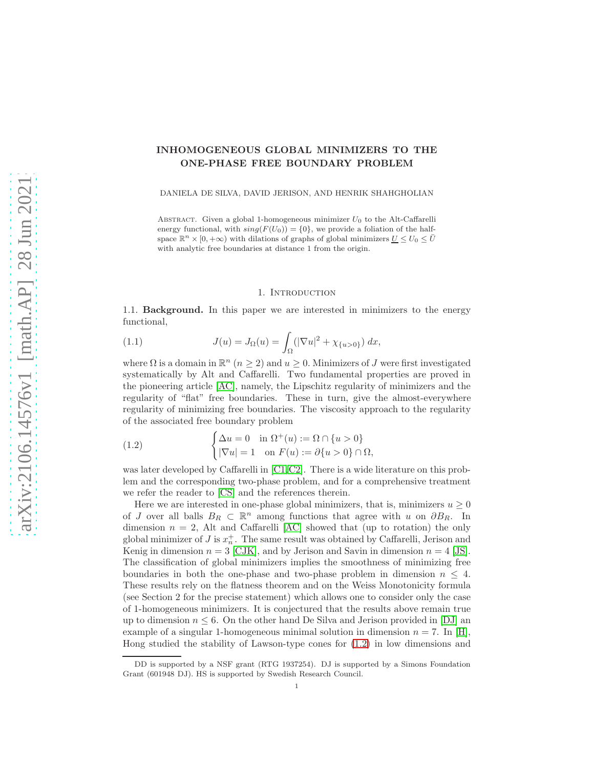# INHOMOGENEOUS GLOBAL MINIMIZERS TO THE ONE-PHASE FREE BOUNDARY PROBLEM

DANIELA DE SILVA, DAVID JERISON, AND HENRIK SHAHGHOLIAN

ABSTRACT. Given a global 1-homogeneous minimizer  $U_0$  to the Alt-Caffarelli energy functional, with  $sing(F(U_0)) = \{0\}$ , we provide a foliation of the halfspace  $\mathbb{R}^n \times [0, +\infty)$  with dilations of graphs of global minimizers  $\underline{U} \le U_0 \le \overline{U}$ with analytic free boundaries at distance 1 from the origin.

### <span id="page-0-1"></span>1. Introduction

1.1. Background. In this paper we are interested in minimizers to the energy functional,

(1.1) 
$$
J(u) = J_{\Omega}(u) = \int_{\Omega} (|\nabla u|^2 + \chi_{\{u > 0\}}) dx,
$$

where  $\Omega$  is a domain in  $\mathbb{R}^n$   $(n \geq 2)$  and  $u \geq 0$ . Minimizers of J were first investigated systematically by Alt and Caffarelli. Two fundamental properties are proved in the pioneering article [\[AC\]](#page-20-0), namely, the Lipschitz regularity of minimizers and the regularity of "flat" free boundaries. These in turn, give the almost-everywhere regularity of minimizing free boundaries. The viscosity approach to the regularity of the associated free boundary problem

<span id="page-0-0"></span>(1.2) 
$$
\begin{cases} \Delta u = 0 & \text{in } \Omega^+(u) := \Omega \cap \{u > 0\} \\ |\nabla u| = 1 & \text{on } F(u) := \partial \{u > 0\} \cap \Omega, \end{cases}
$$

was later developed by Caffarelli in [\[C1,](#page-20-1)[C2\]](#page-20-2). There is a wide literature on this problem and the corresponding two-phase problem, and for a comprehensive treatment we refer the reader to [\[CS\]](#page-20-3) and the references therein.

Here we are interested in one-phase global minimizers, that is, minimizers  $u \geq 0$ of J over all balls  $B_R \subset \mathbb{R}^n$  among functions that agree with u on  $\partial B_R$ . In dimension  $n = 2$ , Alt and Caffarelli [\[AC\]](#page-20-0) showed that (up to rotation) the only global minimizer of  $J$  is  $x_n^+$ . The same result was obtained by Caffarelli, Jerison and Kenig in dimension  $n = 3$  [\[CJK\]](#page-20-4), and by Jerison and Savin in dimension  $n = 4$  [\[JS\]](#page-20-5). The classification of global minimizers implies the smoothness of minimizing free boundaries in both the one-phase and two-phase problem in dimension  $n \leq 4$ . These results rely on the flatness theorem and on the Weiss Monotonicity formula (see Section 2 for the precise statement) which allows one to consider only the case of 1-homogeneous minimizers. It is conjectured that the results above remain true up to dimension  $n \leq 6$ . On the other hand De Silva and Jerison provided in [\[DJ\]](#page-20-6) an example of a singular 1-homogeneous minimal solution in dimension  $n = 7$ . In [\[H\]](#page-20-7), Hong studied the stability of Lawson-type cones for [\(1.2\)](#page-0-0) in low dimensions and

DD is supported by a NSF grant (RTG 1937254). DJ is supported by a Simons Foundation Grant (601948 DJ). HS is supported by Swedish Research Council.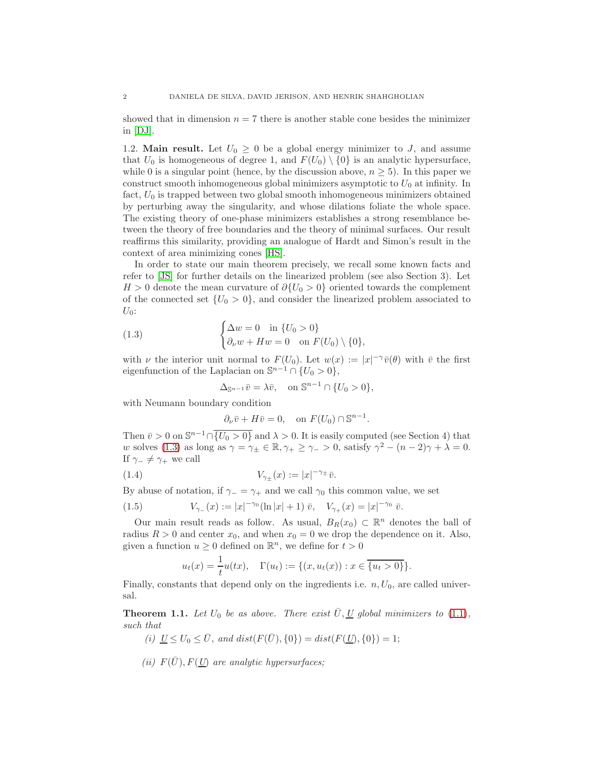showed that in dimension  $n = 7$  there is another stable cone besides the minimizer in [\[DJ\]](#page-20-6).

1.2. **Main result.** Let  $U_0 \geq 0$  be a global energy minimizer to J, and assume that  $U_0$  is homogeneous of degree 1, and  $F(U_0) \setminus \{0\}$  is an analytic hypersurface, while 0 is a singular point (hence, by the discussion above,  $n \geq 5$ ). In this paper we construct smooth inhomogeneous global minimizers asymptotic to  $U_0$  at infinity. In fact,  $U_0$  is trapped between two global smooth inhomogeneous minimizers obtained by perturbing away the singularity, and whose dilations foliate the whole space. The existing theory of one-phase minimizers establishes a strong resemblance between the theory of free boundaries and the theory of minimal surfaces. Our result reaffirms this similarity, providing an analogue of Hardt and Simon's result in the context of area minimizing cones [\[HS\]](#page-20-8).

In order to state our main theorem precisely, we recall some known facts and refer to [\[JS\]](#page-20-5) for further details on the linearized problem (see also Section 3). Let  $H > 0$  denote the mean curvature of  $\partial \{U_0 > 0\}$  oriented towards the complement of the connected set  $\{U_0 > 0\}$ , and consider the linearized problem associated to  $U_0$ :

(1.3) 
$$
\begin{cases} \Delta w = 0 & \text{in } \{U_0 > 0\} \\ \partial_\nu w + Hw = 0 & \text{on } F(U_0) \setminus \{0\}, \end{cases}
$$

with  $\nu$  the interior unit normal to  $F(U_0)$ . Let  $w(x) := |x|^{-\gamma} \overline{v}(\theta)$  with  $\overline{v}$  the first eigenfunction of the Laplacian on  $\mathbb{S}^{n-1} \cap \{U_0 > 0\},\$ 

<span id="page-1-0"></span>
$$
\Delta_{\mathbb{S}^{n-1}}\bar{v} = \lambda \bar{v}, \quad \text{on } \mathbb{S}^{n-1} \cap \{U_0 > 0\},
$$

with Neumann boundary condition

<span id="page-1-2"></span>
$$
\partial_{\nu}\bar{v} + H\bar{v} = 0
$$
, on  $F(U_0) \cap \mathbb{S}^{n-1}$ .

Then  $\bar{v} > 0$  on  $\mathbb{S}^{n-1} \cap \{U_0 > 0\}$  and  $\lambda > 0$ . It is easily computed (see Section 4) that w solves [\(1.3\)](#page-1-0) as long as  $\gamma = \gamma_{\pm} \in \mathbb{R}, \gamma_{+} \geq \gamma_{-} > 0$ , satisfy  $\gamma^{2} - (n-2)\gamma + \lambda = 0$ . If  $\gamma_-\neq \gamma_+$  we call

(1.4) 
$$
V_{\gamma_{\pm}}(x) := |x|^{-\gamma_{\pm}} \bar{v}.
$$

By abuse of notation, if  $\gamma = \gamma_+$  and we call  $\gamma_0$  this common value, we set

(1.5) 
$$
V_{\gamma_-}(x) := |x|^{-\gamma_0} (\ln |x| + 1) \bar{v}, \quad V_{\gamma_+}(x) = |x|^{-\gamma_0} \bar{v}.
$$

Our main result reads as follow. As usual,  $B_R(x_0) \subset \mathbb{R}^n$  denotes the ball of radius  $R > 0$  and center  $x_0$ , and when  $x_0 = 0$  we drop the dependence on it. Also, given a function  $u \geq 0$  defined on  $\mathbb{R}^n$ , we define for  $t > 0$ 

<span id="page-1-3"></span>
$$
u_t(x) = \frac{1}{t}u(tx), \quad \Gamma(u_t) := \{(x, u_t(x)) : x \in \overline{\{u_t > 0\}}\}.
$$

Finally, constants that depend only on the ingredients i.e.  $n, U_0$ , are called universal.

<span id="page-1-1"></span>**Theorem 1.1.** Let  $U_0$  be as above. There exist  $\overline{U}, \underline{U}$  global minimizers to [\(1.1\)](#page-0-1), such that

- (i)  $\underline{U} \le U_0 \le \overline{U}$ , and  $dist(F(\overline{U}), \{0\}) = dist(F(\underline{U}), \{0\}) = 1;$
- (ii)  $F(\bar{U})$ ,  $F(\underline{U})$  are analytic hypersurfaces;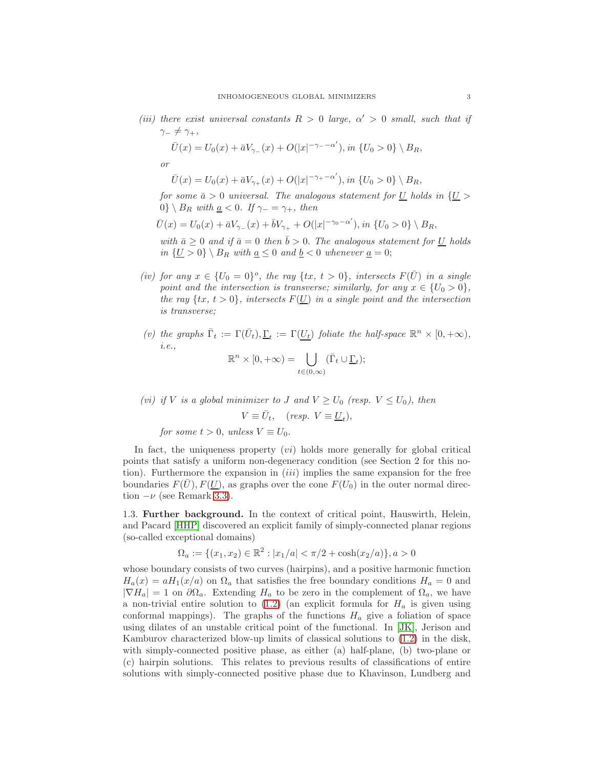(iii) there exist universal constants  $R > 0$  large,  $\alpha' > 0$  small, such that if  $\gamma_-\neq \gamma_+,$ 

$$
\bar{U}(x) = U_0(x) + \bar{a}V_{\gamma_-}(x) + O(|x|^{-\gamma_- - \alpha'}), \text{ in } \{U_0 > 0\} \setminus B_R,
$$

or

tion  $-\nu$  (see Remark [3.3\)](#page-7-0).

$$
\bar{U}(x) = U_0(x) + \bar{a}V_{\gamma_+}(x) + O(|x|^{-\gamma_+ - \alpha'}), \text{ in } \{U_0 > 0\} \setminus B_R,
$$

for some  $\bar{a} > 0$  universal. The analogous statement for <u>U</u> holds in  $\{U >$ 0} \  $B_R$  with  $\underline{a} < 0$ . If  $\gamma_- = \gamma_+$ , then

$$
\bar{U}(x) = U_0(x) + \bar{a}V_{\gamma_{-}}(x) + \bar{b}V_{\gamma_{+}} + O(|x|^{-\gamma_0 - \alpha'}), \text{ in } \{U_0 > 0\} \setminus B_R,
$$

with  $\bar{a} \geq 0$  and if  $\bar{a} = 0$  then  $\bar{b} > 0$ . The analogous statement for <u>U</u> holds in  $\{\underline{U} > 0\} \setminus B_R$  with  $\underline{a} \leq 0$  and  $\underline{b} < 0$  whenever  $\underline{a} = 0$ ;

- (iv) for any  $x \in \{U_0 = 0\}^o$ , the ray  $\{tx, t > 0\}$ , intersects  $F(\overline{U})$  in a single point and the intersection is transverse; similarly, for any  $x \in \{U_0 > 0\},$ the ray  $\{tx, t > 0\}$ , intersects  $F(\underline{U})$  in a single point and the intersection is transverse;
- (v) the graphs  $\bar{\Gamma}_t := \Gamma(\bar{U}_t), \underline{\Gamma}_t := \Gamma(\underline{U}_t)$  foliate the half-space  $\mathbb{R}^n \times [0, +\infty)$ , i.e.,

$$
\mathbb{R}^n \times [0, +\infty) = \bigcup_{t \in (0, \infty)} (\bar{\Gamma}_t \cup \underline{\Gamma}_t);
$$

(vi) if V is a global minimizer to J and  $V \ge U_0$  (resp.  $V \le U_0$ ), then  $V \equiv \bar{U}_t$ , (resp.  $V \equiv \underline{U}_t$ ), for some  $t > 0$ , unless  $V \equiv U_0$ .

In fact, the uniqueness property  $(v_i)$  holds more generally for global critical points that satisfy a uniform non-degeneracy condition (see Section 2 for this notion). Furthermore the expansion in  $(iii)$  implies the same expansion for the free

1.3. Further background. In the context of critical point, Hauswirth, Helein, and Pacard [\[HHP\]](#page-20-9) discovered an explicit family of simply-connected planar regions (so-called exceptional domains)

boundaries  $F(\bar{U}), F(\underline{U})$ , as graphs over the cone  $F(U_0)$  in the outer normal direc-

$$
\Omega_a := \{(x_1, x_2) \in \mathbb{R}^2 : |x_1/a| < \pi/2 + \cosh(x_2/a)\}, a > 0
$$

whose boundary consists of two curves (hairpins), and a positive harmonic function  $H_a(x) = aH_1(x/a)$  on  $\Omega_a$  that satisfies the free boundary conditions  $H_a = 0$  and  $|\nabla H_a| = 1$  on  $\partial \Omega_a$ . Extending  $H_a$  to be zero in the complement of  $\Omega_a$ , we have a non-trivial entire solution to  $(1.2)$  (an explicit formula for  $H_a$  is given using conformal mappings). The graphs of the functions  $H_a$  give a foliation of space using dilates of an unstable critical point of the functional. In [\[JK\]](#page-20-10), Jerison and Kamburov characterized blow-up limits of classical solutions to [\(1.2\)](#page-0-0) in the disk, with simply-connected positive phase, as either (a) half-plane, (b) two-plane or (c) hairpin solutions. This relates to previous results of classifications of entire solutions with simply-connected positive phase due to Khavinson, Lundberg and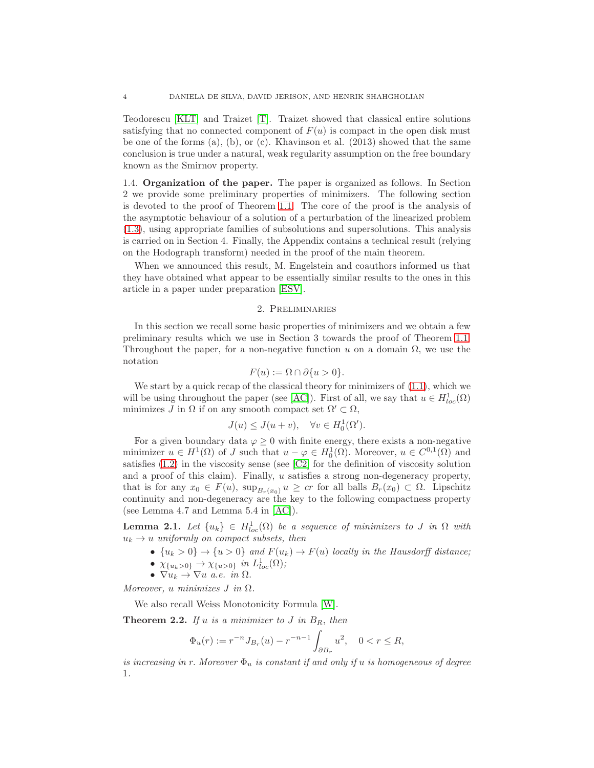Teodorescu [\[KLT\]](#page-20-11) and Traizet [\[T\]](#page-20-12). Traizet showed that classical entire solutions satisfying that no connected component of  $F(u)$  is compact in the open disk must be one of the forms  $(a)$ ,  $(b)$ , or  $(c)$ . Khavinson et al.  $(2013)$  showed that the same conclusion is true under a natural, weak regularity assumption on the free boundary known as the Smirnov property.

1.4. Organization of the paper. The paper is organized as follows. In Section 2 we provide some preliminary properties of minimizers. The following section is devoted to the proof of Theorem [1.1.](#page-1-1) The core of the proof is the analysis of the asymptotic behaviour of a solution of a perturbation of the linearized problem [\(1.3\)](#page-1-0), using appropriate families of subsolutions and supersolutions. This analysis is carried on in Section 4. Finally, the Appendix contains a technical result (relying on the Hodograph transform) needed in the proof of the main theorem.

When we announced this result, M. Engelstein and coauthors informed us that they have obtained what appear to be essentially similar results to the ones in this article in a paper under preparation [\[ESV\]](#page-20-13).

## 2. Preliminaries

In this section we recall some basic properties of minimizers and we obtain a few preliminary results which we use in Section 3 towards the proof of Theorem [1.1.](#page-1-1) Throughout the paper, for a non-negative function u on a domain  $\Omega$ , we use the notation

$$
F(u) := \Omega \cap \partial \{u > 0\}.
$$

We start by a quick recap of the classical theory for minimizers of [\(1.1\)](#page-0-1), which we will be using throughout the paper (see [\[AC\]](#page-20-0)). First of all, we say that  $u \in H_{loc}^1(\Omega)$ minimizes J in  $\Omega$  if on any smooth compact set  $\Omega' \subset \Omega$ ,

$$
J(u) \le J(u+v), \quad \forall v \in H_0^1(\Omega').
$$

For a given boundary data  $\varphi \geq 0$  with finite energy, there exists a non-negative minimizer  $u \in H^1(\Omega)$  of J such that  $u - \varphi \in H_0^1(\Omega)$ . Moreover,  $u \in C^{0,1}(\Omega)$  and satisfies [\(1.2\)](#page-0-0) in the viscosity sense (see [\[C2\]](#page-20-2) for the definition of viscosity solution and a proof of this claim). Finally, u satisfies a strong non-degeneracy property, that is for any  $x_0 \in F(u)$ ,  $\sup_{B_r(x_0)} u \geq cr$  for all balls  $B_r(x_0) \subset \Omega$ . Lipschitz continuity and non-degeneracy are the key to the following compactness property (see Lemma 4.7 and Lemma 5.4 in [\[AC\]](#page-20-0)).

<span id="page-3-0"></span>**Lemma 2.1.** Let  $\{u_k\} \in H^1_{loc}(\Omega)$  be a sequence of minimizers to J in  $\Omega$  with  $u_k \rightarrow u$  uniformly on compact subsets, then

- $\{u_k > 0\}$   $\rightarrow \{u > 0\}$  and  $F(u_k) \rightarrow F(u)$  locally in the Hausdorff distance;
- $\chi_{\{u_k > 0\}} \to \chi_{\{u > 0\}}$  in  $L^1_{loc}(\Omega)$ ;

•  $\nabla u_k \to \nabla u$  a.e. in  $\Omega$ .

Moreover, u minimizes  $J$  in  $\Omega$ .

We also recall Weiss Monotonicity Formula [\[W\]](#page-20-14).

<span id="page-3-1"></span>**Theorem 2.2.** If u is a minimizer to J in  $B_R$ , then

$$
\Phi_u(r) := r^{-n} J_{B_r}(u) - r^{-n-1} \int_{\partial B_r} u^2, \quad 0 < r \le R,
$$

is increasing in r. Moreover  $\Phi_u$  is constant if and only if u is homogeneous of degree 1.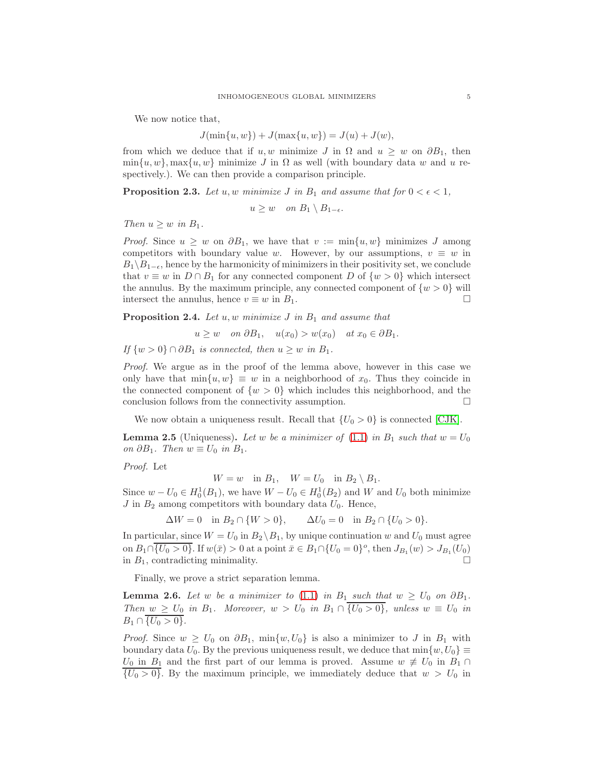We now notice that,

$$
J(\min\{u, w\}) + J(\max\{u, w\}) = J(u) + J(w),
$$

from which we deduce that if u, w minimize J in  $\Omega$  and  $u > w$  on  $\partial B_1$ , then  $\min\{u, w\}$ , max $\{u, w\}$  minimize J in  $\Omega$  as well (with boundary data w and u respectively.). We can then provide a comparison principle.

<span id="page-4-0"></span>**Proposition 2.3.** Let u, w minimize J in  $B_1$  and assume that for  $0 < \epsilon < 1$ ,

$$
u \geq w \quad on \ B_1 \setminus B_{1-\epsilon}.
$$

Then  $u \geq w$  in  $B_1$ .

*Proof.* Since  $u \geq w$  on  $\partial B_1$ , we have that  $v := \min\{u, w\}$  minimizes J among competitors with boundary value w. However, by our assumptions,  $v \equiv w$  in  $B_1\backslash B_{1-\epsilon}$ , hence by the harmonicity of minimizers in their positivity set, we conclude that  $v \equiv w$  in  $D \cap B_1$  for any connected component D of  $\{w > 0\}$  which intersect the annulus. By the maximum principle, any connected component of  $\{w > 0\}$  will intersect the annulus, hence  $v \equiv w$  in  $B_1$ .

<span id="page-4-2"></span>**Proposition 2.4.** Let  $u, w$  minimize  $J$  in  $B_1$  and assume that

$$
u \geq w
$$
 on  $\partial B_1$ ,  $u(x_0) > w(x_0)$  at  $x_0 \in \partial B_1$ .

If  $\{w > 0\} \cap \partial B_1$  is connected, then  $u \geq w$  in  $B_1$ .

Proof. We argue as in the proof of the lemma above, however in this case we only have that  $\min\{u, w\} \equiv w$  in a neighborhood of  $x_0$ . Thus they coincide in the connected component of  $\{w > 0\}$  which includes this neighborhood, and the conclusion follows from the connectivity assumption.  $\hfill \Box$ 

We now obtain a uniqueness result. Recall that  $\{U_0 > 0\}$  is connected [\[CJK\]](#page-20-4).

<span id="page-4-3"></span>**Lemma 2.5** (Uniqueness). Let w be a minimizer of [\(1.1\)](#page-0-1) in  $B_1$  such that  $w = U_0$ on  $\partial B_1$ . Then  $w \equiv U_0$  in  $B_1$ .

Proof. Let

 $W = w$  in  $B_1$ ,  $W = U_0$  in  $B_2 \setminus B_1$ .

Since  $w - U_0 \in H_0^1(B_1)$ , we have  $W - U_0 \in H_0^1(B_2)$  and W and  $U_0$  both minimize  $J$  in  $B_2$  among competitors with boundary data  $U_0$ . Hence,

$$
\Delta W = 0 \text{ in } B_2 \cap \{W > 0\}, \qquad \Delta U_0 = 0 \text{ in } B_2 \cap \{U_0 > 0\}.
$$

In particular, since  $W = U_0$  in  $B_2 \setminus B_1$ , by unique continuation w and  $U_0$  must agree on  $B_1 \cap \{U_0 > 0\}$ . If  $w(\bar{x}) > 0$  at a point  $\bar{x} \in B_1 \cap \{U_0 = 0\}^o$ , then  $J_{B_1}(w) > J_{B_1}(U_0)$ in  $B_1$ , contradicting minimality.

Finally, we prove a strict separation lemma.

<span id="page-4-1"></span>**Lemma 2.6.** Let w be a minimizer to [\(1.1\)](#page-0-1) in B<sub>1</sub> such that  $w \geq U_0$  on  $\partial B_1$ . Then  $w \ge U_0$  in  $B_1$ . Moreover,  $w > U_0$  in  $B_1 \cap \{U_0 > 0\}$ , unless  $w \equiv U_0$  in  $B_1 \cap \{U_0 > 0\}.$ 

*Proof.* Since  $w \ge U_0$  on  $\partial B_1$ ,  $\min\{w, U_0\}$  is also a minimizer to J in  $B_1$  with boundary data  $U_0$ . By the previous uniqueness result, we deduce that  $\min\{w, U_0\} \equiv$  $U_0$  in  $B_1$  and the first part of our lemma is proved. Assume  $w \neq U_0$  in  $B_1 \cap$  $\{U_0 > 0\}$ . By the maximum principle, we immediately deduce that  $w > U_0$  in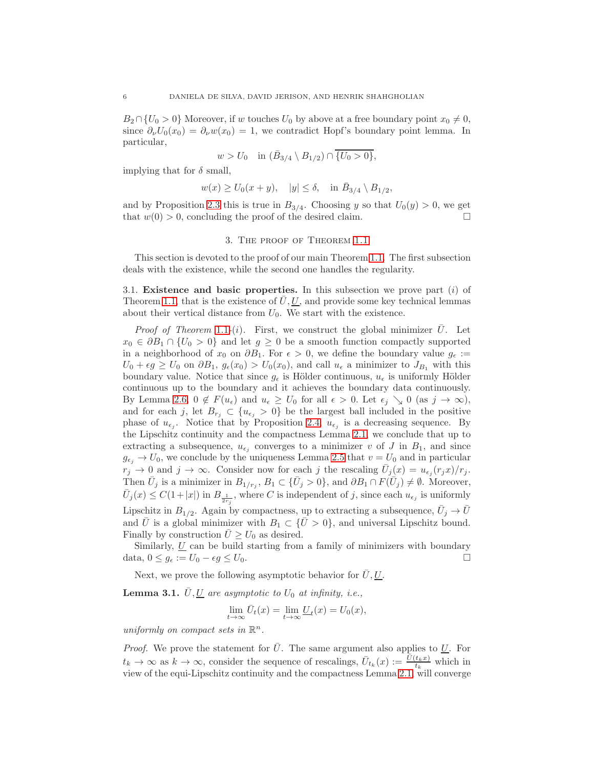$B_2 \cap \{U_0 > 0\}$  Moreover, if w touches  $U_0$  by above at a free boundary point  $x_0 \neq 0$ , since  $\partial_{\nu}U_0(x_0) = \partial_{\nu}w(x_0) = 1$ , we contradict Hopf's boundary point lemma. In particular,

$$
w > U_0
$$
 in  $(\bar{B}_{3/4} \setminus B_{1/2}) \cap \overline{\{U_0 > 0\}},$ 

implying that for  $\delta$  small,

$$
w(x) \ge U_0(x+y), \quad |y| \le \delta, \quad \text{in } \bar{B}_{3/4} \setminus B_{1/2},
$$

and by Proposition [2.3](#page-4-0) this is true in  $B_{3/4}$ . Choosing y so that  $U_0(y) > 0$ , we get that  $w(0) > 0$ , concluding the proof of the desired claim.

#### 3. The proof of Theorem [1.1](#page-1-1)

This section is devoted to the proof of our main Theorem [1.1.](#page-1-1) The first subsection deals with the existence, while the second one handles the regularity.

3.1. Existence and basic properties. In this subsection we prove part  $(i)$  of Theorem [1.1,](#page-1-1) that is the existence of  $U, U$ , and provide some key technical lemmas about their vertical distance from  $U_0$ . We start with the existence.

*Proof of Theorem* [1](#page-1-1).1-(*i*). First, we construct the global minimizer  $\bar{U}$ . Let  $x_0 \in \partial B_1 \cap \{U_0 > 0\}$  and let  $g \geq 0$  be a smooth function compactly supported in a neighborhood of  $x_0$  on  $\partial B_1$ . For  $\epsilon > 0$ , we define the boundary value  $g_{\epsilon} :=$  $U_0 + \epsilon g \ge U_0$  on  $\partial B_1$ ,  $g_{\epsilon}(x_0) > U_0(x_0)$ , and call  $u_{\epsilon}$  a minimizer to  $J_{B_1}$  with this boundary value. Notice that since  $g_{\epsilon}$  is Hölder continuous,  $u_{\epsilon}$  is uniformly Hölder continuous up to the boundary and it achieves the boundary data continuously. By Lemma [2.6,](#page-4-1)  $0 \notin F(u_\epsilon)$  and  $u_\epsilon \geq U_0$  for all  $\epsilon > 0$ . Let  $\epsilon_j \searrow 0$  (as  $j \to \infty$ ), and for each j, let  $B_{r_j} \subset \{u_{\epsilon_j} > 0\}$  be the largest ball included in the positive phase of  $u_{\epsilon_j}$ . Notice that by Proposition [2.4,](#page-4-2)  $u_{\epsilon_j}$  is a decreasing sequence. By the Lipschitz continuity and the compactness Lemma [2.1,](#page-3-0) we conclude that up to extracting a subsequence,  $u_{\epsilon_j}$  converges to a minimizer v of J in  $B_1$ , and since  $g_{\epsilon_i} \to U_0$ , we conclude by the uniqueness Lemma [2.5](#page-4-3) that  $v = U_0$  and in particular  $r_j \to 0$  and  $j \to \infty$ . Consider now for each j the rescaling  $\bar{U}_j(x) = u_{\epsilon_j}(r_jx)/r_j$ . Then  $\bar{U}_j$  is a minimizer in  $B_{1/r_j}$ ,  $B_1 \subset \{\bar{U}_j > 0\}$ , and  $\partial B_1 \cap F(\bar{U}_j) \neq \emptyset$ . Moreover,  $\bar{U}_j(x) \leq C(1+|x|)$  in  $B_{\frac{1}{2r_j}}$ , where C is independent of j, since each  $u_{\epsilon_j}$  is uniformly Lipschitz in  $B_{1/2}$ . Again by compactness, up to extracting a subsequence,  $\bar{U}_j \to \bar{U}_j$ and  $\overline{U}$  is a global minimizer with  $B_1 \subset {\overline{U} > 0}$ , and universal Lipschitz bound. Finally by construction  $\overline{U} \geq U_0$  as desired.

Similarly,  $U$  can be build starting from a family of minimizers with boundary data,  $0 \leq g_{\epsilon} := U_0 - \epsilon g \leq U_0$ .

Next, we prove the following asymptotic behavior for  $\bar{U}, \underline{U}$ .

<span id="page-5-0"></span>**Lemma 3.1.**  $\bar{U}, \underline{U}$  are asymptotic to  $U_0$  at infinity, i.e.,

$$
\lim_{t \to \infty} \bar{U}_t(x) = \lim_{t \to \infty} \underline{U}_t(x) = U_0(x),
$$

uniformly on compact sets in  $\mathbb{R}^n$ .

*Proof.* We prove the statement for  $\overline{U}$ . The same argument also applies to  $\underline{U}$ . For  $t_k \to \infty$  as  $k \to \infty$ , consider the sequence of rescalings,  $\bar{U}_{t_k}(x) := \frac{\bar{U}(t_k x)}{t_k}$  which in view of the equi-Lipschitz continuity and the compactness Lemma [2.1,](#page-3-0) will converge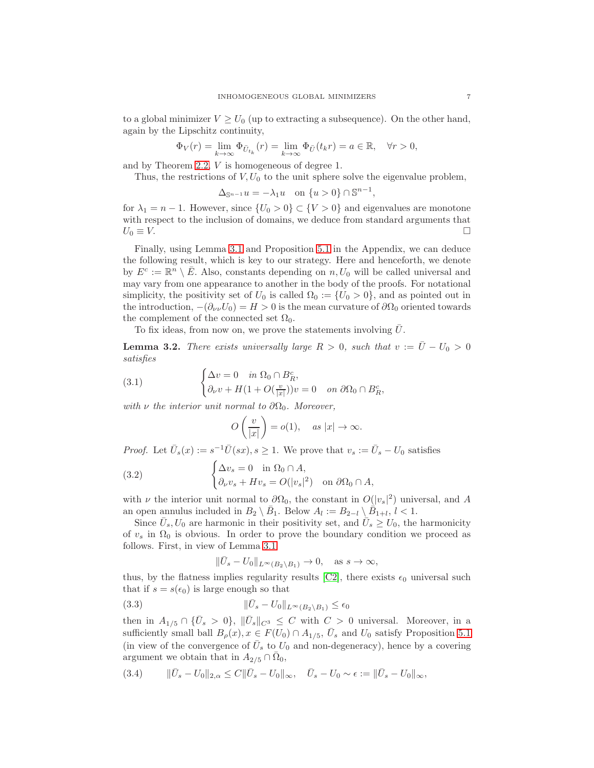to a global minimizer  $V \ge U_0$  (up to extracting a subsequence). On the other hand, again by the Lipschitz continuity,

$$
\Phi_V(r) = \lim_{k \to \infty} \Phi_{\bar{U}_{t_k}}(r) = \lim_{k \to \infty} \Phi_{\bar{U}}(t_k r) = a \in \mathbb{R}, \quad \forall r > 0,
$$

and by Theorem [2.2,](#page-3-1) V is homogeneous of degree 1.

Thus, the restrictions of  $V, U_0$  to the unit sphere solve the eigenvalue problem,

$$
\Delta_{\mathbb{S}^{n-1}}u = -\lambda_1 u \quad \text{on } \{u > 0\} \cap \mathbb{S}^{n-1},
$$

for  $\lambda_1 = n - 1$ . However, since  $\{U_0 > 0\} \subset \{V > 0\}$  and eigenvalues are monotone with respect to the inclusion of domains, we deduce from standard arguments that  $U_0 \equiv V$ .

Finally, using Lemma [3.1](#page-5-0) and Proposition [5.1](#page-18-0) in the Appendix, we can deduce the following result, which is key to our strategy. Here and henceforth, we denote by  $E^c := \mathbb{R}^n \setminus \overline{E}$ . Also, constants depending on  $n, U_0$  will be called universal and may vary from one appearance to another in the body of the proofs. For notational simplicity, the positivity set of  $U_0$  is called  $\Omega_0 := \{U_0 > 0\}$ , and as pointed out in the introduction,  $-(\partial_{\nu}U_0)=H>0$  is the mean curvature of  $\partial\Omega_0$  oriented towards the complement of the connected set  $\Omega_0$ .

To fix ideas, from now on, we prove the statements involving  $U$ .

<span id="page-6-3"></span>**Lemma 3.2.** There exists universally large  $R > 0$ , such that  $v := \bar{U} - U_0 > 0$ satisfies

(3.1) 
$$
\begin{cases} \Delta v = 0 & \text{in } \Omega_0 \cap B_R^c, \\ \partial_\nu v + H(1 + O(\frac{v}{|x|}))v = 0 & \text{on } \partial\Omega_0 \cap B_R^c, \end{cases}
$$

with  $\nu$  the interior unit normal to  $\partial\Omega_0$ . Moreover,

<span id="page-6-2"></span><span id="page-6-1"></span>
$$
O\left(\frac{v}{|x|}\right) = o(1), \quad \text{as } |x| \to \infty.
$$

*Proof.* Let  $\bar{U}_s(x) := s^{-1} \bar{U}(sx), s \ge 1$ . We prove that  $v_s := \bar{U}_s - U_0$  satisfies

(3.2) 
$$
\begin{cases} \Delta v_s = 0 \quad \text{in } \Omega_0 \cap A, \\ \partial_\nu v_s + Hv_s = O(|v_s|^2) \quad \text{on } \partial \Omega_0 \cap A, \end{cases}
$$

with  $\nu$  the interior unit normal to  $\partial\Omega_0$ , the constant in  $O(|v_s|^2)$  universal, and A an open annulus included in  $B_2 \setminus \bar{B}_1$ . Below  $A_l := B_{2-l} \setminus \bar{B}_{1+l}, l < 1$ .

Since  $\bar{U}_s, U_0$  are harmonic in their positivity set, and  $\bar{U}_s \ge U_0$ , the harmonicity of  $v_s$  in  $\Omega_0$  is obvious. In order to prove the boundary condition we proceed as follows. First, in view of Lemma [3.1](#page-5-0)

<span id="page-6-4"></span>
$$
\|\bar{U}_s - U_0\|_{L^\infty(B_2 \setminus B_1)} \to 0, \quad \text{as } s \to \infty,
$$

thus, by the flatness implies regularity results [\[C2\]](#page-20-2), there exists  $\epsilon_0$  universal such that if  $s = s(\epsilon_0)$  is large enough so that

$$
(3.3) \t\t\t ||\bar{U}_s - U_0||_{L^{\infty}(B_2 \setminus B_1)} \le \epsilon_0
$$

then in  $A_{1/5} \cap {\bar{U}_s > 0}$ ,  $\|\bar{U}_s\|_{C^3} \leq C$  with  $C > 0$  universal. Moreover, in a sufficiently small ball  $B_{\rho}(x), x \in F(U_0) \cap A_{1/5}, \bar{U}_s$  and  $U_0$  satisfy Proposition [5.1](#page-18-0) (in view of the convergence of  $\bar{U}_s$  to  $U_0$  and non-degeneracy), hence by a covering argument we obtain that in  $A_{2/5} \cap \overline{\Omega}_0$ ,

<span id="page-6-0"></span>
$$
(3.4) \t\t ||\bar{U}_s - U_0||_{2,\alpha} \leq C ||\bar{U}_s - U_0||_{\infty}, \quad \bar{U}_s - U_0 \sim \epsilon := ||\bar{U}_s - U_0||_{\infty},
$$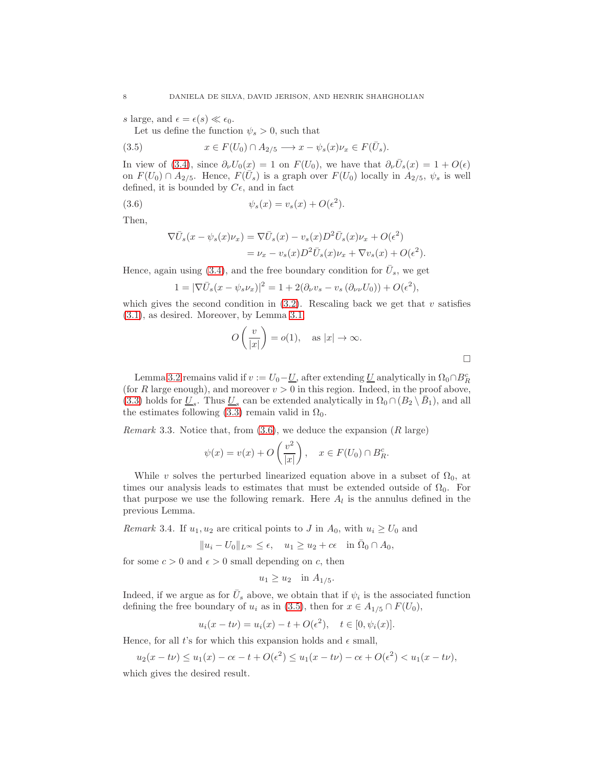s large, and  $\epsilon = \epsilon(s) \ll \epsilon_0$ .

<span id="page-7-2"></span>Let us define the function  $\psi_s > 0$ , such that

(3.5) 
$$
x \in F(U_0) \cap A_{2/5} \longrightarrow x - \psi_s(x)\nu_x \in F(\bar{U}_s).
$$

In view of [\(3.4\)](#page-6-0), since  $\partial_{\nu}U_0(x) = 1$  on  $F(U_0)$ , we have that  $\partial_{\nu}\bar{U}_s(x) = 1 + O(\epsilon)$ on  $F(U_0) \cap A_{2/5}$ . Hence,  $F(\bar{U}_s)$  is a graph over  $F(U_0)$  locally in  $A_{2/5}$ ,  $\psi_s$  is well defined, it is bounded by  $C\epsilon$ , and in fact

(3.6) 
$$
\psi_s(x) = v_s(x) + O(\epsilon^2).
$$

Then,

<span id="page-7-1"></span>
$$
\nabla \bar{U}_s(x - \psi_s(x)\nu_x) = \nabla \bar{U}_s(x) - v_s(x)D^2 \bar{U}_s(x)\nu_x + O(\epsilon^2)
$$
  
=  $\nu_x - v_s(x)D^2 \bar{U}_s(x)\nu_x + \nabla v_s(x) + O(\epsilon^2).$ 

Hence, again using [\(3.4\)](#page-6-0), and the free boundary condition for  $\bar{U}_s$ , we get

$$
1 = |\nabla \bar{U}_s(x - \psi_s \nu_x)|^2 = 1 + 2(\partial_\nu v_s - v_s(\partial_{\nu\nu} U_0)) + O(\epsilon^2),
$$

which gives the second condition in  $(3.2)$ . Rescaling back we get that v satisfies [\(3.1\)](#page-6-2), as desired. Moreover, by Lemma [3.1,](#page-5-0)

$$
O\left(\frac{v}{|x|}\right) = o(1), \quad \text{as } |x| \to \infty.
$$

Lemma [3.2](#page-6-3) remains valid if  $v := U_0 - \underline{U}$ , after extending  $\underline{U}$  analytically in  $\Omega_0 \cap B_R^c$ (for R large enough), and moreover  $v > 0$  in this region. Indeed, in the proof above, [\(3.3\)](#page-6-4) holds for  $\underline{U}_s$ . Thus  $\underline{U}_s$  can be extended analytically in  $\Omega_0 \cap (B_2 \setminus \overline{B}_1)$ , and all the estimates following [\(3.3\)](#page-6-4) remain valid in  $\Omega_0$ .

<span id="page-7-0"></span>*Remark* 3.3. Notice that, from  $(3.6)$ , we deduce the expansion  $(R \text{ large})$ 

$$
\psi(x) = v(x) + O\left(\frac{v^2}{|x|}\right), \quad x \in F(U_0) \cap B_R^c.
$$

While v solves the perturbed linearized equation above in a subset of  $\Omega_0$ , at times our analysis leads to estimates that must be extended outside of  $\Omega_0$ . For that purpose we use the following remark. Here  $A_l$  is the annulus defined in the previous Lemma.

<span id="page-7-3"></span>Remark 3.4. If  $u_1, u_2$  are critical points to J in  $A_0$ , with  $u_i \ge U_0$  and

$$
||u_i - U_0||_{L^{\infty}} \le \epsilon, \quad u_1 \ge u_2 + c\epsilon \quad \text{in } \overline{\Omega}_0 \cap A_0,
$$

for some  $c > 0$  and  $\epsilon > 0$  small depending on c, then

$$
u_1 \ge u_2 \quad \text{in } A_{1/5}.
$$

Indeed, if we argue as for  $\bar{U}_s$  above, we obtain that if  $\psi_i$  is the associated function defining the free boundary of  $u_i$  as in [\(3.5\)](#page-7-2), then for  $x \in A_{1/5} \cap F(U_0)$ ,

$$
u_i(x - t\nu) = u_i(x) - t + O(\epsilon^2), \quad t \in [0, \psi_i(x)].
$$

Hence, for all t's for which this expansion holds and  $\epsilon$  small,

$$
u_2(x-t\nu) \le u_1(x) - c\epsilon - t + O(\epsilon^2) \le u_1(x-t\nu) - c\epsilon + O(\epsilon^2) < u_1(x-t\nu),
$$

which gives the desired result.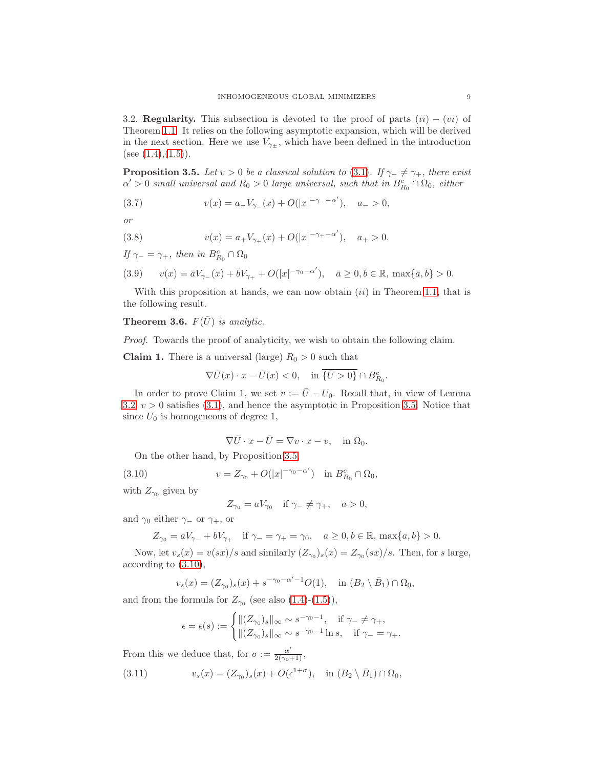3.2. Regularity. This subsection is devoted to the proof of parts  $(ii) - (vi)$  of Theorem [1.1.](#page-1-1) It relies on the following asymptotic expansion, which will be derived in the next section. Here we use  $V_{\gamma\pm}$ , which have been defined in the introduction (see  $(1.4)$ , $(1.5)$ ).

<span id="page-8-0"></span>**Proposition 3.5.** Let  $v > 0$  be a classical solution to [\(3.1\)](#page-6-2). If  $\gamma_- \neq \gamma_+$ , there exist  $\alpha' > 0$  small universal and  $R_0 > 0$  large universal, such that in  $B_{R_0}^c \cap \Omega_0$ , either

<span id="page-8-6"></span>(3.7) 
$$
v(x) = a_{-}V_{\gamma_{-}}(x) + O(|x|^{-\gamma_{-}-\alpha'}), \quad a_{-} > 0,
$$

or

<span id="page-8-4"></span>(3.8) 
$$
v(x) = a_{+}V_{\gamma_{+}}(x) + O(|x|^{-\gamma_{+}-\alpha'}), \quad a_{+} > 0.
$$

If  $\gamma_- = \gamma_+$ , then in  $B_{R_0}^c \cap \Omega_0$ 

<span id="page-8-5"></span>(3.9) 
$$
v(x) = \bar{a}V_{\gamma_{-}}(x) + \bar{b}V_{\gamma_{+}} + O(|x|^{-\gamma_{0}-\alpha'}), \quad \bar{a} \ge 0, \bar{b} \in \mathbb{R}, \max\{\bar{a}, \bar{b}\} > 0.
$$

With this proposition at hands, we can now obtain  $(ii)$  in Theorem [1.1,](#page-1-1) that is the following result.

## <span id="page-8-3"></span>**Theorem 3.6.**  $F(\bar{U})$  is analytic.

Proof. Towards the proof of analyticity, we wish to obtain the following claim.

**Claim 1.** There is a universal (large)  $R_0 > 0$  such that

$$
\nabla \bar{U}(x) \cdot x - \bar{U}(x) < 0, \quad \text{in } \overline{\{\bar{U} > 0\}} \cap B_{R_0}^c.
$$

In order to prove Claim 1, we set  $v := \overline{U} - U_0$ . Recall that, in view of Lemma [3.2,](#page-6-3)  $v > 0$  satisfies [\(3.1\)](#page-6-2), and hence the asymptotic in Proposition [3.5.](#page-8-0) Notice that since  $U_0$  is homogeneous of degree 1,

$$
\nabla \bar{U} \cdot x - \bar{U} = \nabla v \cdot x - v, \quad \text{in } \Omega_0.
$$

On the other hand, by Proposition [3.5,](#page-8-0)

(3.10) 
$$
v = Z_{\gamma_0} + O(|x|^{-\gamma_0 - \alpha'}) \quad \text{in } B_{R_0}^c \cap \Omega_0,
$$

with  $Z_{\gamma_0}$  given by

<span id="page-8-1"></span>
$$
Z_{\gamma_0} = aV_{\gamma_0} \quad \text{if } \gamma_- \neq \gamma_+, \quad a > 0,
$$

and  $\gamma_0$  either  $\gamma_-\,$  or  $\gamma_+$ , or

 $Z_{\gamma_0} = aV_{\gamma_-} + bV_{\gamma_+}$  if  $\gamma_- = \gamma_+ = \gamma_0$ ,  $a \geq 0, b \in \mathbb{R}$ ,  $\max\{a, b\} > 0$ .

Now, let  $v_s(x) = v(sx)/s$  and similarly  $(Z_{\gamma_0})_s(x) = Z_{\gamma_0}(sx)/s$ . Then, for s large, according to [\(3.10\)](#page-8-1),

$$
v_s(x) = (Z_{\gamma_0})_s(x) + s^{-\gamma_0 - \alpha' - 1} O(1), \text{ in } (B_2 \setminus \bar{B}_1) \cap \Omega_0,
$$

and from the formula for  $Z_{\gamma_0}$  (see also [\(1.4\)](#page-1-2)-[\(1.5\)](#page-1-3)),

<span id="page-8-2"></span>
$$
\epsilon = \epsilon(s) := \begin{cases} ||(Z_{\gamma_0})_s||_{\infty} \sim s^{-\gamma_0 - 1}, & \text{if } \gamma_- \neq \gamma_+, \\ ||(Z_{\gamma_0})_s||_{\infty} \sim s^{-\gamma_0 - 1} \ln s, & \text{if } \gamma_- = \gamma_+.\end{cases}
$$

From this we deduce that, for  $\sigma := \frac{\alpha'}{2(\gamma_0+1)}$ ,

(3.11) 
$$
v_s(x) = (Z_{\gamma_0})_s(x) + O(\epsilon^{1+\sigma}), \quad \text{in } (B_2 \setminus \bar{B}_1) \cap \Omega_0,
$$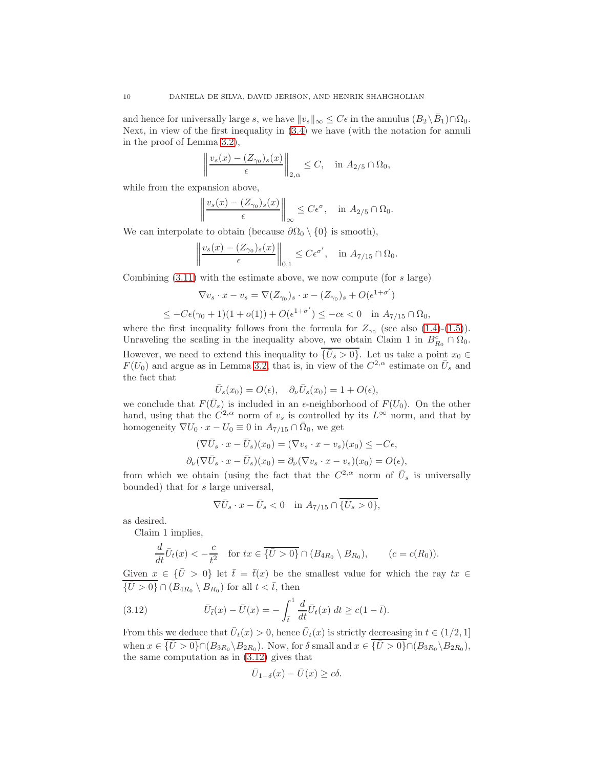and hence for universally large s, we have  $||v_s||_{\infty} \leq C\epsilon$  in the annulus  $(B_2 \setminus \bar{B}_1) \cap \Omega_0$ . Next, in view of the first inequality in [\(3.4\)](#page-6-0) we have (with the notation for annuli in the proof of Lemma [3.2\)](#page-6-3),

$$
\left\|\frac{v_s(x) - (Z_{\gamma_0})_s(x)}{\epsilon}\right\|_{2,\alpha} \le C, \quad \text{in } A_{2/5} \cap \Omega_0,
$$

while from the expansion above,

$$
\left\|\frac{v_s(x) - (Z_{\gamma_0})_s(x)}{\epsilon}\right\|_{\infty} \le C\epsilon^{\sigma}, \quad \text{in } A_{2/5} \cap \Omega_0.
$$

We can interpolate to obtain (because  $\partial\Omega_0 \setminus \{0\}$  is smooth),

$$
\left\|\frac{v_s(x) - (Z_{\gamma_0})_s(x)}{\epsilon}\right\|_{0,1} \leq C\epsilon^{\sigma'}, \quad \text{in } A_{7/15} \cap \Omega_0.
$$

Combining  $(3.11)$  with the estimate above, we now compute (for s large)

$$
\nabla v_s \cdot x - v_s = \nabla (Z_{\gamma_0})_s \cdot x - (Z_{\gamma_0})_s + O(\epsilon^{1+\sigma'})
$$
  

$$
\leq -C\epsilon(\gamma_0 + 1)(1 + o(1)) + O(\epsilon^{1+\sigma'}) \leq -c\epsilon < 0 \quad \text{in } A_{7/15} \cap \Omega_0,
$$

where the first inequality follows from the formula for  $Z_{\gamma_0}$  (see also [\(1.4\)](#page-1-2)-[\(1.5\)](#page-1-3)). Unraveling the scaling in the inequality above, we obtain Claim 1 in  $B_{R_0}^c \cap \Omega_0$ . However, we need to extend this inequality to  $\{\bar{U}_s > 0\}$ . Let us take a point  $x_0 \in$  $F(U_0)$  and argue as in Lemma [3.2,](#page-6-3) that is, in view of the  $C^{2,\alpha}$  estimate on  $\bar{U}_s$  and the fact that

$$
\bar{U}_s(x_0) = O(\epsilon), \quad \partial_\nu \bar{U}_s(x_0) = 1 + O(\epsilon),
$$

we conclude that  $F(\bar{U}_s)$  is included in an  $\epsilon$ -neighborhood of  $F(U_0)$ . On the other hand, using that the  $C^{2,\alpha}$  norm of  $v_s$  is controlled by its  $L^{\infty}$  norm, and that by homogeneity  $\nabla U_0 \cdot x - U_0 \equiv 0$  in  $A_{7/15} \cap \overline{\Omega}_0$ , we get

$$
(\nabla \bar{U}_s \cdot x - \bar{U}_s)(x_0) = (\nabla v_s \cdot x - v_s)(x_0) \le -C\epsilon,
$$
  

$$
\partial_{\nu}(\nabla \bar{U}_s \cdot x - \bar{U}_s)(x_0) = \partial_{\nu}(\nabla v_s \cdot x - v_s)(x_0) = O(\epsilon),
$$

from which we obtain (using the fact that the  $C^{2,\alpha}$  norm of  $\bar{U}_s$  is universally bounded) that for s large universal,

$$
\nabla \bar{U}_s \cdot x - \bar{U}_s < 0 \quad \text{in } A_{7/15} \cap \{ \bar{U}_s > 0 \},
$$

as desired.

Claim 1 implies,

$$
\frac{d}{dt}\overline{U}_t(x) < -\frac{c}{t^2} \quad \text{for } tx \in \overline{\{\overline{U} > 0\}} \cap (B_{4R_0} \setminus B_{R_0}), \qquad (c = c(R_0)).
$$

Given  $x \in {\overline{U} > 0}$  let  $\overline{t} = \overline{t}(x)$  be the smallest value for which the ray  $tx \in$  $\{\bar{U} > 0\} \cap (B_{4R_0} \setminus B_{R_0})$  for all  $t < \bar{t}$ , then

(3.12) 
$$
\bar{U}_{\bar{t}}(x) - \bar{U}(x) = -\int_{\bar{t}}^{1} \frac{d}{dt} \bar{U}_{t}(x) dt \ge c(1 - \bar{t}).
$$

From this we deduce that  $\bar{U}_{\bar{t}}(x) > 0$ , hence  $\bar{U}_{t}(x)$  is strictly decreasing in  $t \in (1/2, 1]$ when  $x \in \{ \overline{U} > 0 \} \cap (B_{3R_0} \backslash B_{2R_0})$ . Now, for  $\delta$  small and  $x \in \{ \overline{U} > 0 \} \cap (B_{3R_0} \backslash B_{2R_0})$ , the same computation as in [\(3.12\)](#page-9-0) gives that

<span id="page-9-0"></span>
$$
\bar{U}_{1-\delta}(x) - \bar{U}(x) \ge c\delta.
$$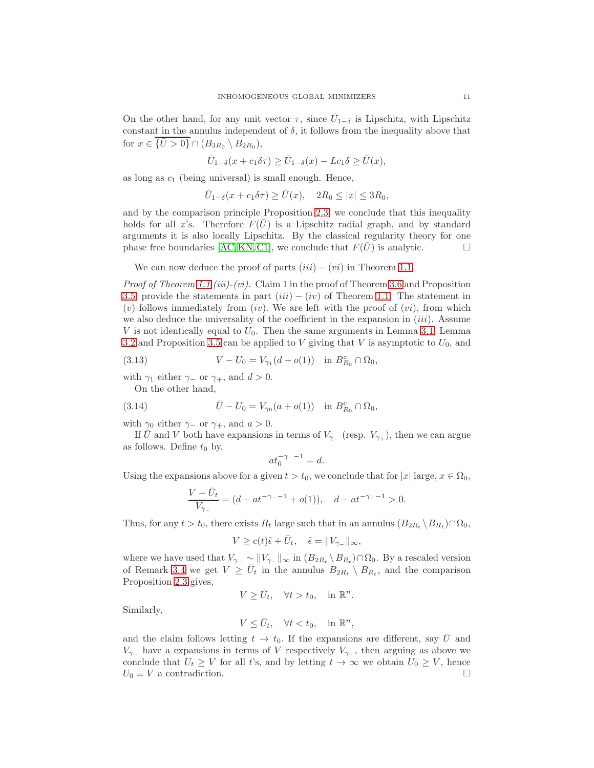On the other hand, for any unit vector  $\tau$ , since  $\bar{U}_{1-\delta}$  is Lipschitz, with Lipschitz constant in the annulus independent of  $\delta$ , it follows from the inequality above that for  $x \in \{ \overline{U} > 0 \} \cap (B_{3R_0} \setminus B_{2R_0}),$ 

$$
\bar{U}_{1-\delta}(x+c_1\delta\tau)\geq \bar{U}_{1-\delta}(x)-Lc_1\delta\geq \bar{U}(x),
$$

as long as  $c_1$  (being universal) is small enough. Hence,

$$
\bar{U}_{1-\delta}(x+c_1\delta\tau)\geq \bar{U}(x), \quad 2R_0\leq |x|\leq 3R_0,
$$

and by the comparison principle Proposition [2.3,](#page-4-0) we conclude that this inequality holds for all x's. Therefore  $F(U)$  is a Lipschitz radial graph, and by standard arguments it is also locally Lipschitz. By the classical regularity theory for one phase free boundaries [\[AC,](#page-20-0) [KN,](#page-20-15) [C1\]](#page-20-1), we conclude that  $F(\bar{U})$  is analytic.

We can now deduce the proof of parts  $(iii) - (vi)$  in Theorem [1.1.](#page-1-1)

*Proof of Theorem [1.1](#page-1-1) (iii)-(vi).* Claim 1 in the proof of Theorem [3.6](#page-8-3) and Proposition [3.5,](#page-8-0) provide the statements in part  $(iii) - (iv)$  of Theorem [1.1.](#page-1-1) The statement in  $(v)$  follows immediately from  $(iv)$ . We are left with the proof of  $(vi)$ , from which we also deduce the universality of the coefficient in the expansion in  $(iii)$ . Assume  $V$  is not identically equal to  $U_0$ . Then the same arguments in Lemma [3.1,](#page-5-0) Lemma [3.2](#page-6-3) and Proposition [3.5](#page-8-0) can be applied to V giving that V is asymptotic to  $U_0$ , and

(3.13) 
$$
V - U_0 = V_{\gamma_1}(d + o(1)) \text{ in } B_{R_0}^c \cap \Omega_0,
$$

with  $\gamma_1$  either  $\gamma_-\,$  or  $\gamma_+$ , and  $d > 0$ .

On the other hand,

(3.14) 
$$
\bar{U} - U_0 = V_{\gamma_0}(a + o(1)) \text{ in } B_{R_0}^c \cap \Omega_0,
$$

with  $\gamma_0$  either  $\gamma_-$  or  $\gamma_+$ , and  $a > 0$ .

If U and V both have expansions in terms of  $V_{\gamma-}$  (resp.  $V_{\gamma+}$ ), then we can argue as follows. Define  $t_0$  by,

$$
at_0^{-\gamma_- - 1} = d.
$$

Using the expansions above for a given  $t > t_0$ , we conclude that for  $|x|$  large,  $x \in \Omega_0$ ,

$$
\frac{V - \bar{U}_t}{V_{\gamma_-}} = (d - at^{-\gamma_- - 1} + o(1)), \quad d - at^{-\gamma_- - 1} > 0.
$$

Thus, for any  $t > t_0$ , there exists  $R_t$  large such that in an annulus  $(B_{2R_t} \setminus B_{R_t}) \cap \Omega_0$ ,

$$
V \ge c(t)\tilde{\epsilon} + \bar{U}_t, \quad \tilde{\epsilon} = ||V_{\gamma_-}||_{\infty},
$$

where we have used that  $V_{\gamma-} \sim ||V_{\gamma-}||_{\infty}$  in  $(B_{2R_t} \setminus B_{R_t}) \cap \Omega_0$ . By a rescaled version of Remark [3.4](#page-7-3) we get  $V \ge \bar{U}_t$  in the annulus  $B_{2R_t} \setminus B_{R_t}$ , and the comparison Proposition [2.3](#page-4-0) gives,

$$
V \ge \bar{U}_t, \quad \forall t > t_0, \quad \text{in } \mathbb{R}^n.
$$

Similarly,

$$
V \leq \bar{U}_t, \quad \forall t < t_0, \quad \text{in } \mathbb{R}^n,
$$

and the claim follows letting  $t \to t_0$ . If the expansions are different, say  $\bar{U}$  and  $V_{\gamma-}$  have a expansions in terms of V respectively  $V_{\gamma+}$ , then arguing as above we conclude that  $U_t \geq V$  for all t's, and by letting  $t \to \infty$  we obtain  $U_0 \geq V$ , hence  $U_0 \equiv V$  a contradiction.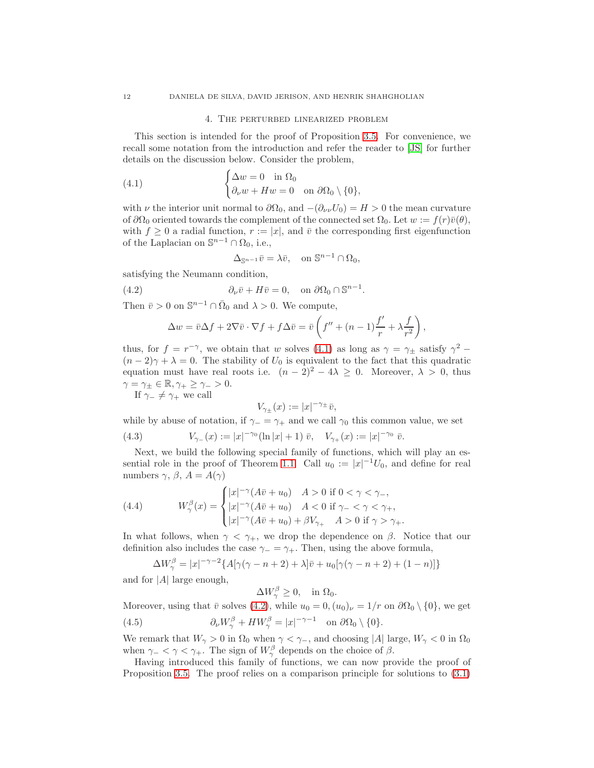#### <span id="page-11-0"></span>4. The perturbed linearized problem

This section is intended for the proof of Proposition [3.5.](#page-8-0) For convenience, we recall some notation from the introduction and refer the reader to [\[JS\]](#page-20-5) for further details on the discussion below. Consider the problem,

(4.1) 
$$
\begin{cases} \Delta w = 0 & \text{in } \Omega_0 \\ \partial_\nu w + Hw = 0 & \text{on } \partial \Omega_0 \setminus \{0\}, \end{cases}
$$

with  $\nu$  the interior unit normal to  $\partial\Omega_0$ , and  $-(\partial_{\nu\nu}U_0) = H > 0$  the mean curvature of  $\partial\Omega_0$  oriented towards the complement of the connected set  $\Omega_0$ . Let  $w := f(r)\bar{v}(\theta)$ , with  $f \geq 0$  a radial function,  $r := |x|$ , and  $\bar{v}$  the corresponding first eigenfunction of the Laplacian on  $\mathbb{S}^{n-1} \cap \Omega_0$ , i.e.,

<span id="page-11-1"></span>
$$
\Delta_{\mathbb{S}^{n-1}}\bar{v} = \lambda \bar{v}, \quad \text{on } \mathbb{S}^{n-1} \cap \Omega_0,
$$

satisfying the Neumann condition,

(4.2) 
$$
\partial_{\nu}\bar{v} + H\bar{v} = 0, \text{ on } \partial\Omega_0 \cap \mathbb{S}^{n-1}.
$$

Then  $\bar{v} > 0$  on  $\mathbb{S}^{n-1} \cap \bar{\Omega}_0$  and  $\lambda > 0$ . We compute,

$$
\Delta w = \overline{v} \Delta f + 2 \nabla \overline{v} \cdot \nabla f + f \Delta \overline{v} = \overline{v} \left( f'' + (n-1) \frac{f'}{r} + \lambda \frac{f}{r^2} \right),
$$

thus, for  $f = r^{-\gamma}$ , we obtain that w solves [\(4.1\)](#page-11-0) as long as  $\gamma = \gamma_{\pm}$  satisfy  $\gamma^2$  - $(n-2)\gamma + \lambda = 0$ . The stability of  $U_0$  is equivalent to the fact that this quadratic equation must have real roots i.e.  $(n-2)^2 - 4\lambda \geq 0$ . Moreover,  $\lambda > 0$ , thus  $\gamma = \gamma_{\pm} \in \mathbb{R}, \gamma_{+} \geq \gamma_{-} > 0.$ 

If  $\gamma_-\neq \gamma_+$  we call

$$
V_{\gamma_{\pm}}(x) := |x|^{-\gamma_{\pm}} \bar{v},
$$

while by abuse of notation, if  $\gamma = \gamma_+$  and we call  $\gamma_0$  this common value, we set (4.3)  $V_{\gamma_-}(x) := |x|^{-\gamma_0} (\ln |x| + 1) \bar{v}, \quad V_{\gamma_+}(x) := |x|^{-\gamma_0} \bar{v}.$ 

Next, we build the following special family of functions, which will play an es-sential role in the proof of Theorem [1.1.](#page-1-1) Call  $u_0 := |x|^{-1}U_0$ , and define for real numbers  $\gamma$ ,  $\beta$ ,  $A = A(\gamma)$ 

<span id="page-11-2"></span>(4.4) 
$$
W^{\beta}_{\gamma}(x) = \begin{cases} |x|^{-\gamma} (A\bar{v} + u_0) & A > 0 \text{ if } 0 < \gamma < \gamma_-, \\ |x|^{-\gamma} (A\bar{v} + u_0) & A < 0 \text{ if } \gamma_- < \gamma < \gamma_+, \\ |x|^{-\gamma} (A\bar{v} + u_0) + \beta V_{\gamma_+} & A > 0 \text{ if } \gamma > \gamma_+ . \end{cases}
$$

In what follows, when  $\gamma < \gamma_+$ , we drop the dependence on  $\beta$ . Notice that our definition also includes the case  $\gamma = \gamma_+$ . Then, using the above formula,

$$
\Delta W^{\beta}_{\gamma} = |x|^{-\gamma - 2} \{ A[\gamma(\gamma - n + 2) + \lambda] \bar{v} + u_0[\gamma(\gamma - n + 2) + (1 - n)] \}
$$

and for  $|A|$  large enough,

<span id="page-11-3"></span> $\Delta W_{\gamma}^{\beta} \geq 0$ , in  $\Omega_0$ .

Moreover, using that  $\bar{v}$  solves [\(4.2\)](#page-11-1), while  $u_0 = 0$ ,  $(u_0)_\nu = 1/r$  on  $\partial\Omega_0 \setminus \{0\}$ , we get (4.5)  $\partial_{\nu}W^{\beta}_{\gamma} + HW^{\beta}_{\gamma} = |x|^{-\gamma-1} \text{ on } \partial\Omega_0 \setminus \{0\}.$ 

We remark that  $W_{\gamma} > 0$  in  $\Omega_0$  when  $\gamma < \gamma_-,$  and choosing |A| large,  $W_{\gamma} < 0$  in  $\Omega_0$ when  $\gamma_{-} < \gamma < \gamma_{+}$ . The sign of  $W^{\beta}_{\gamma}$  depends on the choice of  $\beta$ .

Having introduced this family of functions, we can now provide the proof of Proposition [3.5.](#page-8-0) The proof relies on a comparison principle for solutions to [\(3.1\)](#page-6-2)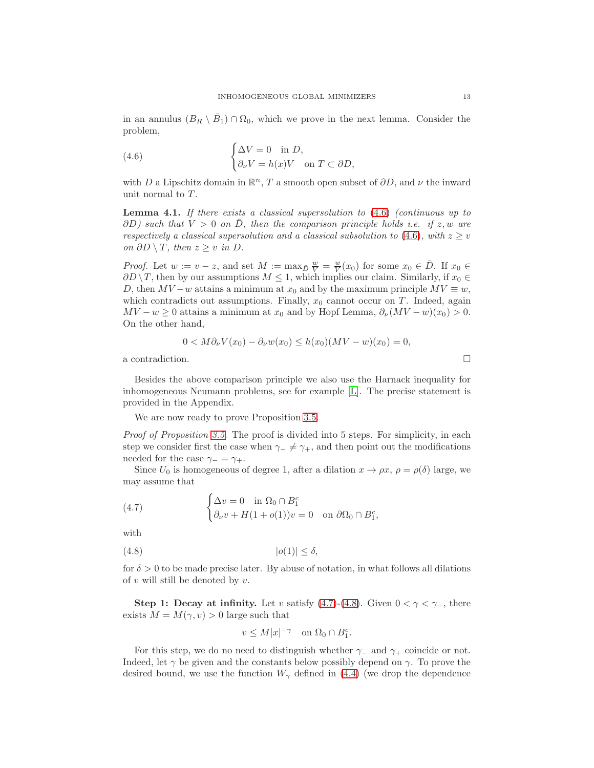in an annulus  $(B_R \setminus \overline{B}_1) \cap \Omega_0$ , which we prove in the next lemma. Consider the problem,

<span id="page-12-0"></span>(4.6) 
$$
\begin{cases} \Delta V = 0 & \text{in } D, \\ \partial_{\nu} V = h(x) V & \text{on } T \subset \partial D, \end{cases}
$$

with D a Lipschitz domain in  $\mathbb{R}^n$ , T a smooth open subset of  $\partial D$ , and  $\nu$  the inward unit normal to T.

<span id="page-12-3"></span>**Lemma 4.1.** If there exists a classical supersolution to  $(4.6)$  (continuous up to  $\partial D$ ) such that  $V > 0$  on  $\overline{D}$ , then the comparison principle holds i.e. if z, w are respectively a classical supersolution and a classical subsolution to [\(4.6\)](#page-12-0), with  $z > v$ *on*  $\partial D \setminus T$ , then  $z \geq v$  in  $D$ .

*Proof.* Let  $w := v - z$ , and set  $M := \max_{\bar{D}} \frac{w}{V} = \frac{w}{V}(x_0)$  for some  $x_0 \in \bar{D}$ . If  $x_0 \in$  $\partial D \setminus T$ , then by our assumptions  $M \leq 1$ , which implies our claim. Similarly, if  $x_0 \in$ D, then  $MV - w$  attains a minimum at  $x_0$  and by the maximum principle  $MV \equiv w$ , which contradicts out assumptions. Finally,  $x_0$  cannot occur on T. Indeed, again  $MV - w \geq 0$  attains a minimum at  $x_0$  and by Hopf Lemma,  $\partial_{\nu}(MV - w)(x_0) > 0$ . On the other hand,

$$
0 < M\partial_{\nu}V(x_0) - \partial_{\nu}w(x_0) \le h(x_0)(MV - w)(x_0) = 0,
$$

a contradiction.

Besides the above comparison principle we also use the Harnack inequality for inhomogeneous Neumann problems, see for example [\[L\]](#page-20-16). The precise statement is provided in the Appendix.

We are now ready to prove Proposition [3.5.](#page-8-0)

Proof of Proposition [3.5](#page-8-0). The proof is divided into 5 steps. For simplicity, in each step we consider first the case when  $\gamma_-\neq \gamma_+$ , and then point out the modifications needed for the case  $\gamma_-=\gamma_+$ .

Since  $U_0$  is homogeneous of degree 1, after a dilation  $x \to \rho x$ ,  $\rho = \rho(\delta)$  large, we may assume that

,

<span id="page-12-1"></span>(4.7) 
$$
\begin{cases} \Delta v = 0 & \text{in } \Omega_0 \cap B_1^c \\ \partial_\nu v + H(1 + o(1))v = 0 & \text{on } \partial \Omega_0 \cap B_1^c \end{cases}
$$

with

$$
(4.8) \t\t |o(1)| \le \delta,
$$

for  $\delta > 0$  to be made precise later. By abuse of notation, in what follows all dilations of  $v$  will still be denoted by  $v$ .

Step 1: Decay at infinity. Let v satisfy [\(4.7\)](#page-12-1)-[\(4.8\)](#page-12-2). Given  $0 < \gamma < \gamma$ , there exists  $M = M(\gamma, v) > 0$  large such that

<span id="page-12-2"></span>
$$
v \le M|x|^{-\gamma} \quad \text{on } \Omega_0 \cap B_1^c.
$$

For this step, we do no need to distinguish whether  $\gamma_-\$  and  $\gamma_+\$  coincide or not. Indeed, let  $\gamma$  be given and the constants below possibly depend on  $\gamma$ . To prove the desired bound, we use the function  $W_{\gamma}$  defined in [\(4.4\)](#page-11-2) (we drop the dependence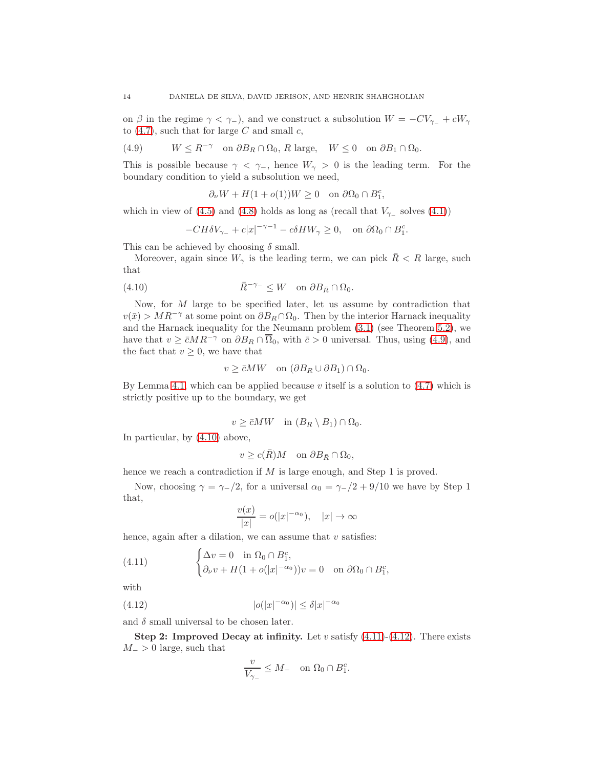on  $\beta$  in the regime  $\gamma < \gamma_-\,$ ), and we construct a subsolution  $W = -CV_{\gamma_-} + \epsilon W_{\gamma}$ to  $(4.7)$ , such that for large C and small c,

<span id="page-13-0"></span>(4.9) 
$$
W \le R^{-\gamma}
$$
 on  $\partial B_R \cap \Omega_0$ , R large,  $W \le 0$  on  $\partial B_1 \cap \Omega_0$ .

This is possible because  $\gamma < \gamma$ , hence  $W_{\gamma} > 0$  is the leading term. For the boundary condition to yield a subsolution we need,

$$
\partial_{\nu}W + H(1 + o(1))W \ge 0 \quad \text{on } \partial\Omega_0 \cap B_1^c,
$$

which in view of [\(4.5\)](#page-11-3) and [\(4.8\)](#page-12-2) holds as long as (recall that  $V_{\gamma-}$  solves [\(4.1\)](#page-11-0))

<span id="page-13-1"></span>
$$
-CH \delta V_{\gamma-} + c|x|^{-\gamma-1} - c\delta HW_{\gamma} \ge 0, \quad \text{on } \partial\Omega_0 \cap B_1^c.
$$

This can be achieved by choosing  $\delta$  small.

Moreover, again since  $W_{\gamma}$  is the leading term, we can pick  $\bar{R} < R$  large, such that

(4.10) 
$$
\overline{R}^{-\gamma_{-}} \leq W \quad \text{on } \partial B_{\overline{R}} \cap \Omega_{0}.
$$

Now, for M large to be specified later, let us assume by contradiction that  $v(\bar{x}) > MR^{-\gamma}$  at some point on  $\partial B_R \cap \Omega_0$ . Then by the interior Harnack inequality and the Harnack inequality for the Neumann problem  $(3.1)$  (see Theorem [5.2\)](#page-19-0), we have that  $v \geq \bar{c}MR^{-\gamma}$  on  $\partial B_R \cap \overline{\Omega}_0$ , with  $\bar{c} > 0$  universal. Thus, using [\(4.9\)](#page-13-0), and the fact that  $v \geq 0$ , we have that

$$
v \ge \bar{c}MW \quad \text{on } (\partial B_R \cup \partial B_1) \cap \Omega_0.
$$

By Lemma [4.1,](#page-12-3) which can be applied because  $v$  itself is a solution to  $(4.7)$  which is strictly positive up to the boundary, we get

$$
v \geq \bar{c}MW \quad \text{in } (B_R \setminus B_1) \cap \Omega_0.
$$

In particular, by [\(4.10\)](#page-13-1) above,

$$
v \ge c(\bar{R})M \quad \text{on } \partial B_{\bar{R}} \cap \Omega_0,
$$

hence we reach a contradiction if M is large enough, and Step 1 is proved.

Now, choosing  $\gamma = \gamma_-/2$ , for a universal  $\alpha_0 = \gamma_-/2 + 9/10$  we have by Step 1 that,

<span id="page-13-2"></span>
$$
\frac{v(x)}{|x|} = o(|x|^{-\alpha_0}), \quad |x| \to \infty
$$

hence, again after a dilation, we can assume that  $v$  satisfies:

(4.11) 
$$
\begin{cases} \Delta v = 0 & \text{in } \Omega_0 \cap B_1^c, \\ \partial_\nu v + H(1 + o(|x|^{-\alpha_0}))v = 0 & \text{on } \partial \Omega_0 \cap B_1^c, \end{cases}
$$

with

(4.12) 
$$
|o(|x|^{-\alpha_0})| \le \delta |x|^{-\alpha_0}
$$

and  $\delta$  small universal to be chosen later.

Step 2: Improved Decay at infinity. Let  $v$  satisfy  $(4.11)-(4.12)$  $(4.11)-(4.12)$ . There exists  $M_{-}$  > 0 large, such that

<span id="page-13-3"></span>
$$
\frac{v}{V_{\gamma_-}} \leq M_- \quad \text{on } \Omega_0 \cap B_1^c.
$$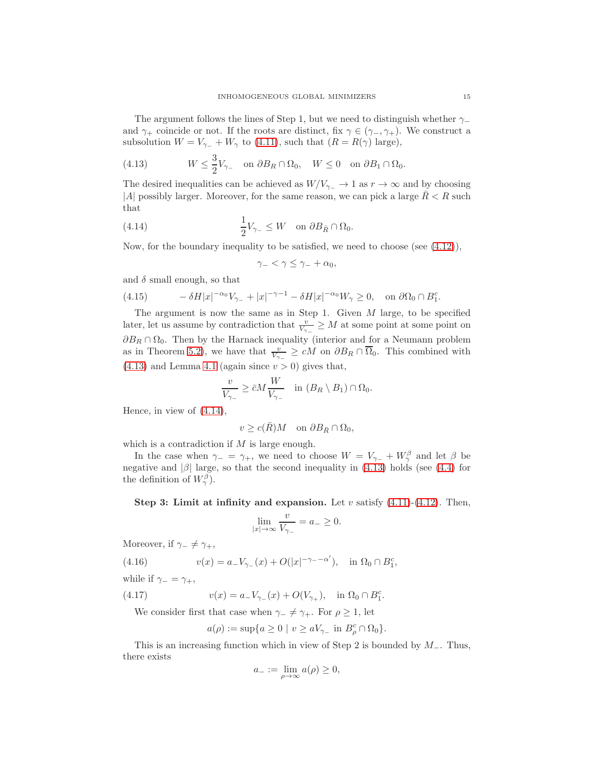The argument follows the lines of Step 1, but we need to distinguish whether  $\gamma$ and  $\gamma_+$  coincide or not. If the roots are distinct, fix  $\gamma \in (\gamma_-, \gamma_+)$ . We construct a subsolution  $W = V_{\gamma-} + W_{\gamma}$  to [\(4.11\)](#page-13-2), such that  $(R = R(\gamma)$  large),

<span id="page-14-0"></span>(4.13) 
$$
W \le \frac{3}{2}V_{\gamma_-}
$$
 on  $\partial B_R \cap \Omega_0$ ,  $W \le 0$  on  $\partial B_1 \cap \Omega_0$ .

The desired inequalities can be achieved as  $W/V_{\gamma-} \to 1$  as  $r \to \infty$  and by choosing |A| possibly larger. Moreover, for the same reason, we can pick a large  $R < R$  such that

(4.14) 
$$
\frac{1}{2}V_{\gamma_-}\leq W \quad \text{on } \partial B_{\bar{R}}\cap \Omega_0.
$$

Now, for the boundary inequality to be satisfied, we need to choose (see  $(4.12)$ ),

<span id="page-14-1"></span>
$$
\gamma_- < \gamma \leq \gamma_- + \alpha_0,
$$

and  $\delta$  small enough, so that

<span id="page-14-2"></span>(4.15) 
$$
-\delta H|x|^{-\alpha_0}V_{\gamma_-}+|x|^{-\gamma-1}-\delta H|x|^{-\alpha_0}W_{\gamma}\geq 0, \text{ on } \partial\Omega_0\cap B_1^c.
$$

The argument is now the same as in Step 1. Given  $M$  large, to be specified later, let us assume by contradiction that  $\frac{v}{V_{\gamma_-}} \geq M$  at some point at some point on  $\partial B_R \cap \Omega_0$  . Then by the Harnack inequality (interior and for a Neumann problem as in Theorem [5.2\)](#page-19-0), we have that  $\frac{v}{V_{\gamma-}} \geq cM$  on  $\partial B_R \cap \overline{\Omega}_0$ . This combined with  $(4.13)$  and Lemma [4.1](#page-12-3) (again since  $v > 0$ ) gives that,

$$
\frac{v}{V_{\gamma-}} \geq \bar{c}M \frac{W}{V_{\gamma-}} \quad \text{in } (B_R \setminus B_1) \cap \Omega_0.
$$

Hence, in view of [\(4.14\)](#page-14-1),

$$
v \geq c(\bar R) M \quad \text{on $\partial B_{\bar R} \cap \Omega_0$},
$$

which is a contradiction if M is large enough.

In the case when  $\gamma_-=\gamma_+$ , we need to choose  $W=V_{\gamma_-}+W_{\gamma_-}^{\beta}$  and let  $\beta$  be negative and  $|\beta|$  large, so that the second inequality in [\(4.13\)](#page-14-0) holds (see [\(4.4\)](#page-11-2) for the definition of  $W_{\gamma}^{\beta}$ ).

Step 3: Limit at infinity and expansion. Let  $v$  satisfy  $(4.11)-(4.12)$  $(4.11)-(4.12)$ . Then,

$$
\lim_{|x| \to \infty} \frac{v}{V_{\gamma_-}} = a_- \ge 0.
$$

Moreover, if  $\gamma_-\neq \gamma_+,$ 

(4.16) 
$$
v(x) = a_{-}V_{\gamma_{-}}(x) + O(|x|^{-\gamma_{-}-\alpha'}), \text{ in } \Omega_0 \cap B_1^c,
$$

while if  $\gamma_-=\gamma_+,$ 

(4.17) 
$$
v(x) = a_{-}V_{\gamma_{-}}(x) + O(V_{\gamma_{+}}), \text{ in } \Omega_{0} \cap B_{1}^{c}.
$$

We consider first that case when  $\gamma_-\neq \gamma_+$ . For  $\rho\geq 1$ , let

<span id="page-14-3"></span>
$$
a(\rho) := \sup\{a \ge 0 \mid v \ge aV_{\gamma_-} \text{ in } B_{\rho}^c \cap \Omega_0\}.
$$

This is an increasing function which in view of Step 2 is bounded by  $M_-.$  Thus, there exists

$$
a_{-} := \lim_{\rho \to \infty} a(\rho) \ge 0,
$$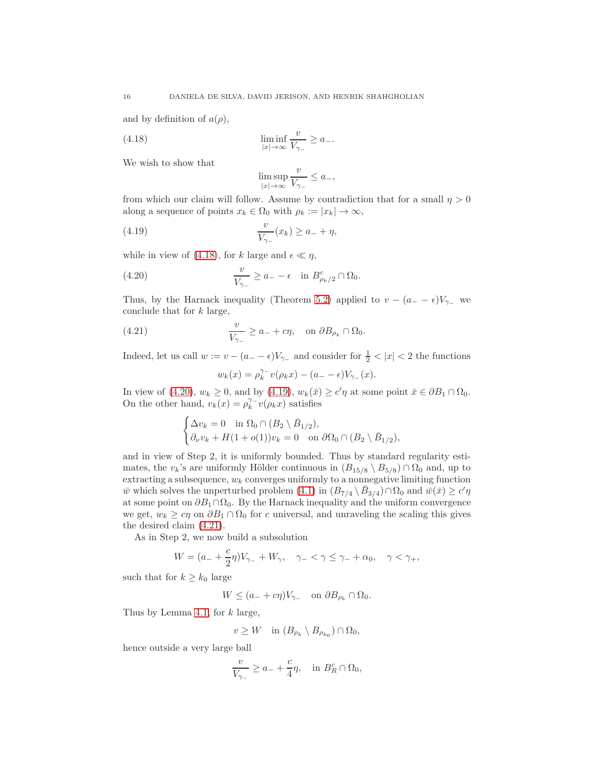and by definition of  $a(\rho)$ ,

(4.18) 
$$
\liminf_{|x| \to \infty} \frac{v}{V_{\gamma_-}} \ge a_-.
$$

We wish to show that

<span id="page-15-2"></span><span id="page-15-0"></span>
$$
\limsup_{|x|\to\infty}\frac{v}{V_{\gamma_-}}\leq a_-,
$$

from which our claim will follow. Assume by contradiction that for a small  $\eta > 0$ along a sequence of points  $x_k \in \Omega_0$  with  $\rho_k := |x_k| \to \infty$ ,

(4.19) 
$$
\frac{v}{V_{\gamma_-}}(x_k) \ge a_- + \eta,
$$

while in view of [\(4.18\)](#page-15-0), for k large and  $\epsilon \ll \eta$ ,

(4.20) 
$$
\frac{v}{V_{\gamma-}} \ge a_- - \epsilon \quad \text{in } B^c_{\rho_k/2} \cap \Omega_0.
$$

Thus, by the Harnack inequality (Theorem [5.2\)](#page-19-0) applied to  $v - (a_+ - \epsilon)V_{\gamma_-}$  we conclude that for k large,

(4.21) 
$$
\frac{v}{V_{\gamma-}} \ge a_- + c\eta, \text{ on } \partial B_{\rho_k} \cap \Omega_0.
$$

Indeed, let us call  $w := v - (a_ - - \epsilon)V_{\gamma_-}$  and consider for  $\frac{1}{2} < |x| < 2$  the functions

<span id="page-15-3"></span><span id="page-15-1"></span>
$$
w_k(x) = \rho_k^{\gamma_-} v(\rho_k x) - (a_- - \epsilon)V_{\gamma_-}(x).
$$

In view of [\(4.20\)](#page-15-1),  $w_k \ge 0$ , and by [\(4.19\)](#page-15-2),  $w_k(\bar{x}) \ge c'\eta$  at some point  $\bar{x} \in \partial B_1 \cap \Omega_0$ . On the other hand,  $v_k(x) = \rho_k^{\gamma - 1}$  $\int_k^{\gamma^-} v(\rho_k x)$  satisfies

$$
\begin{cases} \Delta v_k = 0 & \text{in } \Omega_0 \cap (B_2 \setminus \bar{B}_{1/2}), \\ \partial_\nu v_k + H(1 + o(1))v_k = 0 & \text{on } \partial\Omega_0 \cap (B_2 \setminus \bar{B}_{1/2}), \end{cases}
$$

and in view of Step 2, it is uniformly bounded. Thus by standard regularity estimates, the  $v_k$ 's are uniformly Hölder continuous in  $(B_{15/8} \setminus B_{5/8}) \cap \Omega_0$  and, up to extracting a subsequence,  $w_k$  converges uniformly to a nonnegative limiting function  $\bar{w}$  which solves the unperturbed problem [\(4.1\)](#page-11-0) in  $(B_{7/4} \setminus \bar{B}_{3/4}) \cap \Omega_0$  and  $\bar{w}(\bar{x}) \ge c' \eta$ at some point on  $\partial B_1 \cap \Omega_0$ . By the Harnack inequality and the uniform convergence we get,  $w_k \geq c\eta$  on  $\partial B_1 \cap \Omega_0$  for c universal, and unraveling the scaling this gives the desired claim [\(4.21\)](#page-15-3).

As in Step 2, we now build a subsolution

$$
W = (a_- + \frac{c}{2}\eta)V_{\gamma_-} + W_{\gamma}, \quad \gamma_- < \gamma \le \gamma_+ + \alpha_0, \quad \gamma < \gamma_+,
$$

such that for  $k \geq k_0$  large

$$
W \le (a_- + c\eta)V_{\gamma_-} \quad \text{on } \partial B_{\rho_k} \cap \Omega_0.
$$

Thus by Lemma [4.1,](#page-12-3) for  $k$  large,

$$
v \ge W \quad \text{in } (B_{\rho_k} \setminus B_{\rho_{k_0}}) \cap \Omega_0,
$$

hence outside a very large ball

$$
\frac{v}{V_{\gamma-}} \ge a_- + \frac{c}{4}\eta, \quad \text{in } B_R^c \cap \Omega_0,
$$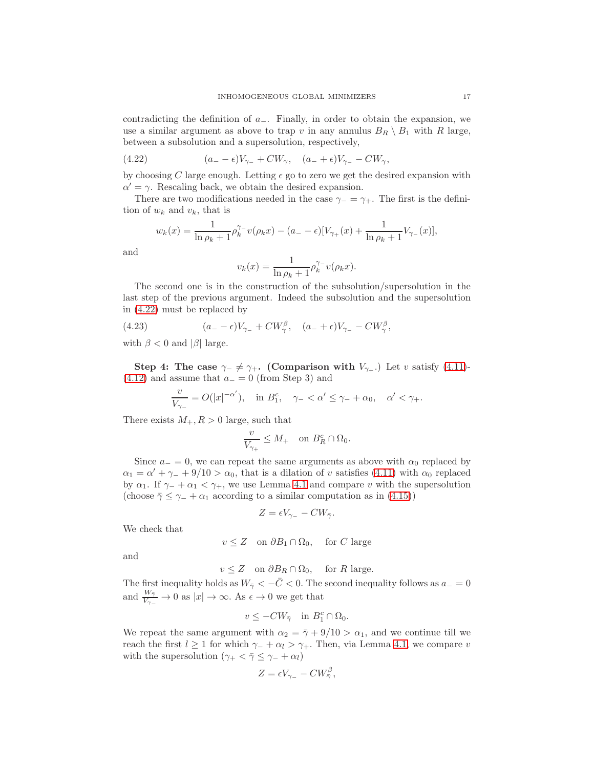contradicting the definition of a−. Finally, in order to obtain the expansion, we use a similar argument as above to trap v in any annulus  $B_R \setminus B_1$  with R large, between a subsolution and a supersolution, respectively,

<span id="page-16-0"></span>(4.22) 
$$
(a_{-}-\epsilon)V_{\gamma_{-}} + CW_{\gamma}, \quad (a_{-}+\epsilon)V_{\gamma_{-}} - CW_{\gamma},
$$

by choosing C large enough. Letting  $\epsilon$  go to zero we get the desired expansion with  $\alpha' = \gamma$ . Rescaling back, we obtain the desired expansion.

There are two modifications needed in the case  $\gamma = \gamma_+$ . The first is the definition of  $w_k$  and  $v_k$ , that is

$$
w_k(x) = \frac{1}{\ln \rho_k + 1} \rho_k^{\gamma - 1} v(\rho_k x) - (a - \epsilon) [V_{\gamma +}(x) + \frac{1}{\ln \rho_k + 1} V_{\gamma -}(x)],
$$

and

$$
v_k(x) = \frac{1}{\ln \rho_k + 1} \rho_k^{\gamma -} v(\rho_k x).
$$

The second one is in the construction of the subsolution/supersolution in the last step of the previous argument. Indeed the subsolution and the supersolution in [\(4.22\)](#page-16-0) must be replaced by

(4.23) 
$$
(a_{-}-\epsilon)V_{\gamma_{-}} + CW_{\gamma}^{\beta}, \quad (a_{-}+\epsilon)V_{\gamma_{-}} - CW_{\gamma}^{\beta},
$$

with  $\beta < 0$  and  $|\beta|$  large.

Step 4: The case  $\gamma_-\neq \gamma_+$ . (Comparison with  $V_{\gamma_+}$ .) Let v satisfy [\(4.11\)](#page-13-2)- $(4.12)$  and assume that  $a_$  = 0 (from Step 3) and

$$
\frac{v}{V_{\gamma_-}}=O(|x|^{-\alpha'}),\quad\text{in }B_1^c,\quad\gamma_-<\alpha'\le\gamma_-+\alpha_0,\quad\alpha'<\gamma_+.
$$

There exists  $M_+, R > 0$  large, such that

$$
\frac{v}{V_{\gamma_+}} \le M_+ \quad \text{on } B_R^c \cap \Omega_0.
$$

Since  $a_ = 0$ , we can repeat the same arguments as above with  $\alpha_0$  replaced by  $\alpha_1 = \alpha' + \gamma_- + 9/10 > \alpha_0$ , that is a dilation of v satisfies [\(4.11\)](#page-13-2) with  $\alpha_0$  replaced by  $\alpha_1$ . If  $\gamma$  +  $\alpha_1 < \gamma$ +, we use Lemma [4.1](#page-12-3) and compare v with the supersolution (choose  $\bar{\gamma} \leq \gamma_- + \alpha_1$  according to a similar computation as in [\(4.15\)](#page-14-2))

$$
Z = \epsilon V_{\gamma_-} - CW_{\bar{\gamma}}.
$$

We check that

 $v \leq Z$  on  $\partial B_1 \cap \Omega_0$ , for C large

and

$$
v \le Z \quad \text{on } \partial B_R \cap \Omega_0, \quad \text{for } R \text{ large.}
$$

The first inequality holds as  $W_{\bar{\gamma}} < -\bar{C} < 0$ . The second inequality follows as  $a_{-} = 0$ and  $\frac{W_{\tilde{\gamma}}}{V_{\gamma_-}} \to 0$  as  $|x| \to \infty$ . As  $\epsilon \to 0$  we get that

$$
v \le -CW_{\bar{\gamma}} \quad \text{in } B_1^c \cap \Omega_0.
$$

We repeat the same argument with  $\alpha_2 = \overline{\gamma} + 9/10 > \alpha_1$ , and we continue till we reach the first  $l \geq 1$  for which  $\gamma_+ + \alpha_l > \gamma_+$ . Then, via Lemma [4.1,](#page-12-3) we compare v with the supersolution  $(\gamma_+ < \bar{\gamma} \leq \gamma_- + \alpha_l)$ 

$$
Z = \epsilon V_{\gamma_-} - C W_{\bar{\gamma}}^{\beta},
$$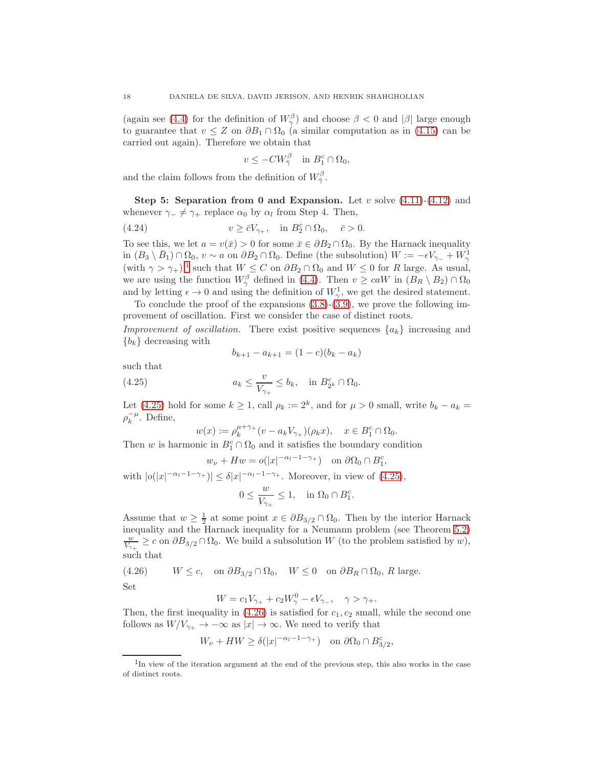(again see [\(4.4\)](#page-11-2) for the definition of  $W_{\gamma}^{\beta}$ ) and choose  $\beta < 0$  and  $|\beta|$  large enough to guarantee that  $v \leq Z$  on  $\partial B_1 \cap \Omega_0$  (a similar computation as in [\(4.15\)](#page-14-2) can be carried out again). Therefore we obtain that

<span id="page-17-3"></span>
$$
v \le -CW_{\bar{\gamma}}^{\beta} \quad \text{in } B_1^c \cap \Omega_0,
$$

and the claim follows from the definition of  $W_{\bar{\gamma}}^{\beta}$ .

Step 5: Separation from 0 and Expansion. Let  $v$  solve  $(4.11)-(4.12)$  $(4.11)-(4.12)$  and whenever  $\gamma_- \neq \gamma_+$  replace  $\alpha_0$  by  $\alpha_l$  from Step 4. Then,

(4.24) 
$$
v \geq \bar{c}V_{\gamma_+}, \quad \text{in } B_2^c \cap \Omega_0, \quad \bar{c} > 0.
$$

To see this, we let  $a = v(\bar{x}) > 0$  for some  $\bar{x} \in \partial B_2 \cap \Omega_0$ . By the Harnack inequality in  $(B_3 \setminus \bar{B}_1) \cap \Omega_0$ ,  $v \sim a$  on  $\partial B_2 \cap \Omega_0$ . Define (the subsolution)  $W := -\epsilon V_{\gamma_-} + W_{\gamma}^1$ (with  $\gamma > \gamma_+$ ),<sup>[1](#page-17-0)</sup> such that  $W \leq C$  on  $\partial B_2 \cap \Omega_0$  and  $W \leq 0$  for R large. As usual, we are using the function  $W^{\beta}_{\gamma}$  defined in [\(4.4\)](#page-11-2). Then  $v \geq caW$  in  $(B_R \setminus B_2) \cap \Omega_0$ and by letting  $\epsilon \to 0$  and using the definition of  $W^1_{\gamma}$ , we get the desired statement.

To conclude the proof of the expansions  $(3.8)-(3.9)$  $(3.8)-(3.9)$ , we prove the following improvement of oscillation. First we consider the case of distinct roots. Improvement of oscillation. There exist positive sequences  $\{a_k\}$  increasing and

 ${b_k}$  decreasing with

<span id="page-17-1"></span>
$$
b_{k+1} - a_{k+1} = (1 - c)(b_k - a_k)
$$

such that

(4.25) 
$$
a_k \leq \frac{v}{V_{\gamma_+}} \leq b_k, \quad \text{in } B_{2^k}^c \cap \Omega_0.
$$

Let [\(4.25\)](#page-17-1) hold for some  $k \geq 1$ , call  $\rho_k := 2^k$ , and for  $\mu > 0$  small, write  $b_k - a_k =$  $\rho_k^{-\mu}$ . Define,

$$
w(x) := \rho_k^{\mu+\gamma_+}(v - a_k V_{\gamma_+})(\rho_k x), \quad x \in B_1^c \cap \Omega_0.
$$

Then w is harmonic in  $B_1^c \cap \Omega_0$  and it satisfies the boundary condition

$$
w_{\nu} + Hw = o(|x|^{-\alpha_l - 1 - \gamma_+})
$$
 on  $\partial \Omega_0 \cap B_1^c$ 

,

with  $|o(|x|^{-\alpha_l-1-\gamma_+})| \leq \delta |x|^{-\alpha_l-1-\gamma_+}$ . Moreover, in view of  $(4.25)$ ,

$$
0 \le \frac{w}{V_{\gamma_+}} \le 1, \quad \text{in } \Omega_0 \cap B_1^c.
$$

Assume that  $w \geq \frac{1}{2}$  at some point  $x \in \partial B_{3/2} \cap \Omega_0$ . Then by the interior Harnack inequality and the Harnack inequality for a Neumann problem (see Theorem [5.2\)](#page-19-0)  $\frac{w}{V_{\gamma_+}} \geq c$  on  $\partial B_{3/2} \cap \Omega_0$ . We build a subsolution W (to the problem satisfied by w), such that

<span id="page-17-2"></span>(4.26)  $W \leq c$ , on  $\partial B_{3/2} \cap \Omega_0$ ,  $W \leq 0$  on  $\partial B_R \cap \Omega_0$ , R large. Set

$$
W = c_1 V_{\gamma_+} + c_2 W_{\gamma}^0 - \epsilon V_{\gamma_-}, \quad \gamma > \gamma_+.
$$

Then, the first inequality in  $(4.26)$  is satisfied for  $c_1, c_2$  small, while the second one follows as  $W/V_{\gamma_+} \to -\infty$  as  $|x| \to \infty$ . We need to verify that

$$
W_{\nu} + HW \ge \delta(|x|^{-\alpha_l - 1 - \gamma_+}) \quad \text{on } \partial\Omega_0 \cap B^c_{3/2},
$$

<span id="page-17-0"></span><sup>&</sup>lt;sup>1</sup>In view of the iteration argument at the end of the previous step, this also works in the case of distinct roots.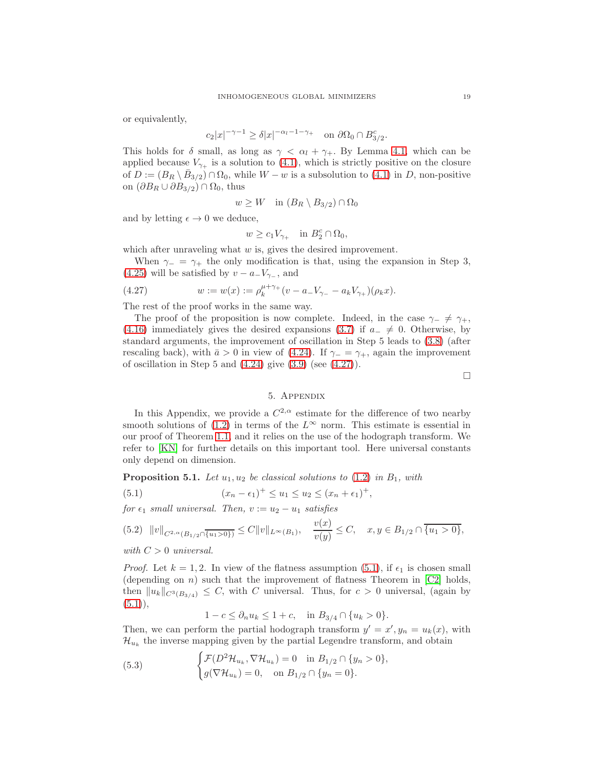or equivalently,

$$
c_2|x|^{-\gamma - 1} \ge \delta |x|^{-\alpha_l - 1 - \gamma_+} \quad \text{on } \partial \Omega_0 \cap B_{3/2}^c.
$$

This holds for  $\delta$  small, as long as  $\gamma < \alpha_l + \gamma_+$ . By Lemma [4.1,](#page-12-3) which can be applied because  $V_{\gamma+}$  is a solution to [\(4.1\)](#page-11-0), which is strictly positive on the closure of  $D := (B_R \setminus \overline{B}_{3/2}) \cap \Omega_0$ , while  $W - w$  is a subsolution to [\(4.1\)](#page-11-0) in D, non-positive on  $(\partial B_R \cup \partial B_{3/2}) \cap \Omega_0$ , thus

$$
w \ge W \quad \text{in } (B_R \setminus B_{3/2}) \cap \Omega_0
$$

and by letting  $\epsilon \to 0$  we deduce,

<span id="page-18-1"></span>
$$
w \ge c_1 V_{\gamma_+} \quad \text{in } B_2^c \cap \Omega_0,
$$

which after unraveling what  $w$  is, gives the desired improvement.

When  $\gamma_-\,\,=\,\,\gamma_+\,$  the only modification is that, using the expansion in Step 3, [\(4.25\)](#page-17-1) will be satisfied by  $v - a_{-}V_{\gamma_{-}}$ , and

(4.27) 
$$
w := w(x) := \rho_k^{\mu + \gamma_+} (v - a_- V_{\gamma_-} - a_k V_{\gamma_+}) (\rho_k x).
$$

The rest of the proof works in the same way.

The proof of the proposition is now complete. Indeed, in the case  $\gamma_-\neq \gamma_+,$ [\(4.16\)](#page-14-3) immediately gives the desired expansions [\(3.7\)](#page-8-6) if  $a_-\neq 0$ . Otherwise, by standard arguments, the improvement of oscillation in Step 5 leads to [\(3.8\)](#page-8-4) (after rescaling back), with  $\bar{a} > 0$  in view of [\(4.24\)](#page-17-3). If  $\gamma = \gamma_+$ , again the improvement of oscillation in Step 5 and  $(4.24)$  give  $(3.9)$  (see  $(4.27)$ ).

 $\Box$ 

## 5. Appendix

In this Appendix, we provide a  $C^{2,\alpha}$  estimate for the difference of two nearby smooth solutions of [\(1.2\)](#page-0-0) in terms of the  $L^{\infty}$  norm. This estimate is essential in our proof of Theorem [1.1,](#page-1-1) and it relies on the use of the hodograph transform. We refer to [\[KN\]](#page-20-15) for further details on this important tool. Here universal constants only depend on dimension.

<span id="page-18-0"></span>**Proposition 5.1.** Let  $u_1, u_2$  be classical solutions to [\(1.2\)](#page-0-0) in  $B_1$ , with

<span id="page-18-2"></span>(5.1) 
$$
(x_n - \epsilon_1)^+ \le u_1 \le u_2 \le (x_n + \epsilon_1)^+,
$$

for  $\epsilon_1$  small universal. Then,  $v := u_2 - u_1$  satisfies

$$
(5.2) \quad ||v||_{C^{2,\alpha}(B_{1/2}\cap\overline{\{u_1>0\}})} \leq C||v||_{L^{\infty}(B_1)}, \quad \frac{v(x)}{v(y)} \leq C, \quad x, y \in B_{1/2}\cap\overline{\{u_1>0\}},
$$

with  $C > 0$  universal.

*Proof.* Let  $k = 1, 2$ . In view of the flatness assumption [\(5.1\)](#page-18-2), if  $\epsilon_1$  is chosen small (depending on *n*) such that the improvement of flatness Theorem in  $\lfloor$ C2 $\rfloor$  holds, then  $||u_k||_{C^{3}(B_{3/4})} \leq C$ , with C universal. Thus, for  $c > 0$  universal, (again by  $(5.1)$ ,

 $1 - c \leq \partial_n u_k \leq 1 + c$ , in  $B_{3/4} \cap \{u_k > 0\}$ .

Then, we can perform the partial hodograph transform  $y' = x', y_n = u_k(x)$ , with  $\mathcal{H}_{u_k}$  the inverse mapping given by the partial Legendre transform, and obtain

(5.3) 
$$
\begin{cases} \mathcal{F}(D^2 \mathcal{H}_{u_k}, \nabla \mathcal{H}_{u_k}) = 0 & \text{in } B_{1/2} \cap \{y_n > 0\}, \\ g(\nabla \mathcal{H}_{u_k}) = 0, & \text{on } B_{1/2} \cap \{y_n = 0\}. \end{cases}
$$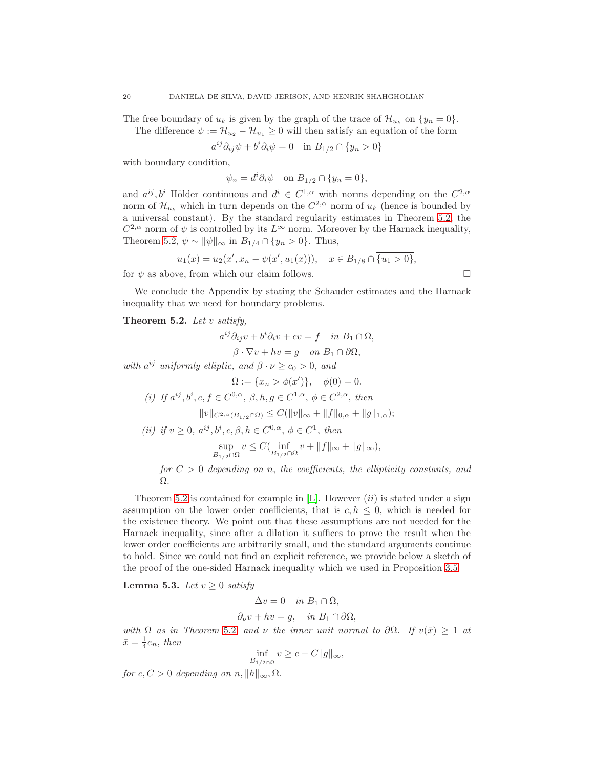The free boundary of  $u_k$  is given by the graph of the trace of  $\mathcal{H}_{u_k}$  on  $\{y_n = 0\}$ . The difference  $\psi := \mathcal{H}_{u_2} - \mathcal{H}_{u_1} \geq 0$  will then satisfy an equation of the form

$$
a^{ij}\partial_{ij}\psi + b^i\partial_i\psi = 0 \quad \text{in } B_{1/2} \cap \{y_n > 0\}
$$

with boundary condition,

$$
\psi_n = d^i \partial_i \psi \quad \text{on } B_{1/2} \cap \{y_n = 0\},
$$

and  $a^{ij}, b^i$  Hölder continuous and  $d^i \in C^{1,\alpha}$  with norms depending on the  $C^{2,\alpha}$ norm of  $\mathcal{H}_{u_k}$  which in turn depends on the  $C^{2,\alpha}$  norm of  $u_k$  (hence is bounded by a universal constant). By the standard regularity estimates in Theorem [5.2,](#page-19-0) the  $C^{2,\alpha}$  norm of  $\psi$  is controlled by its  $L^{\infty}$  norm. Moreover by the Harnack inequality, Theorem [5.2,](#page-19-0)  $\psi \sim ||\psi||_{\infty}$  in  $B_{1/4} \cap \{y_n > 0\}$ . Thus,

$$
u_1(x) = u_2(x', x_n - \psi(x', u_1(x))), \quad x \in B_{1/8} \cap \overline{\{u_1 > 0\}},
$$

for  $\psi$  as above, from which our claim follows.

We conclude the Appendix by stating the Schauder estimates and the Harnack inequality that we need for boundary problems.

<span id="page-19-0"></span>Theorem 5.2. Let  $v$  satisfy,

$$
a^{ij}\partial_{ij}v + b^i\partial_iv + cv = f \quad in \ B_1 \cap \Omega,
$$

$$
\beta \cdot \nabla v + hv = g \quad on \ B_1 \cap \partial \Omega,
$$

with  $a^{ij}$  uniformly elliptic, and  $\beta \cdot \nu \geq c_0 > 0$ , and

$$
\Omega := \{x_n > \phi(x')\}, \quad \phi(0) = 0.
$$
  
(i) If  $a^{ij}, b^i, c, f \in C^{0,\alpha}, \beta, h, g \in C^{1,\alpha}, \phi \in C^{2,\alpha}, \text{ then}$   

$$
||v||_{C^{2,\alpha}(B_{1/2}\cap\Omega)} \leq C(||v||_{\infty} + ||f||_{0,\alpha} + ||g||_{1,\alpha});
$$

(ii) if 
$$
v \ge 0
$$
,  $a^{ij}, b^i, c, \beta, h \in C^{0,\alpha}, \phi \in C^1$ , then  
\n
$$
\sup_{B_{1/2} \cap \Omega} v \le C\left(\inf_{B_{1/2} \cap \Omega} v + ||f||_{\infty} + ||g||_{\infty}\right),
$$
\nfor  $C > 0$  depending on n, the coefficients, the ellipticity constants, and  $\Omega$ .

Theorem [5.2](#page-19-0) is contained for example in [\[L\]](#page-20-16). However  $(ii)$  is stated under a sign assumption on the lower order coefficients, that is  $c, h \leq 0$ , which is needed for the existence theory. We point out that these assumptions are not needed for the Harnack inequality, since after a dilation it suffices to prove the result when the lower order coefficients are arbitrarily small, and the standard arguments continue to hold. Since we could not find an explicit reference, we provide below a sketch of the proof of the one-sided Harnack inequality which we used in Proposition [3.5.](#page-8-0)

Lemma 5.3. Let  $v \geq 0$  satisfy

$$
\Delta v = 0 \quad in \ B_1 \cap \Omega,
$$
  

$$
\partial_\nu v + hv = g, \quad in \ B_1 \cap \partial \Omega,
$$

with  $\Omega$  as in Theorem [5](#page-19-0).2, and  $\nu$  the inner unit normal to  $\partial\Omega$ . If  $v(\bar{x}) \geq 1$  at  $\bar{x} = \frac{1}{4}e_n$ , then

$$
\inf_{B_{1/2\cap\Omega}} v \ge c - C ||g||_{\infty},
$$

for  $c, C > 0$  depending on  $n, ||h||_{\infty}, \Omega$ .

$$
\Box
$$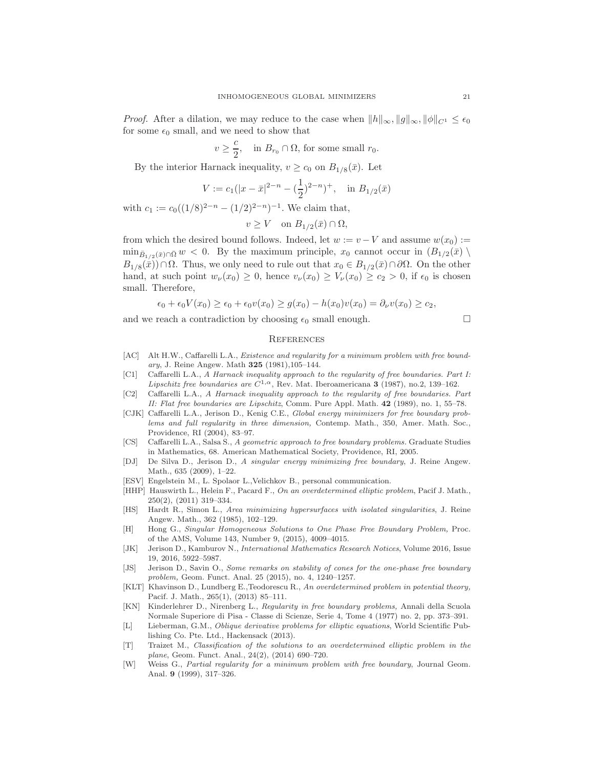*Proof.* After a dilation, we may reduce to the case when  $||h||_{\infty}, ||g||_{\infty}, ||\phi||_{C^1} \leq \epsilon_0$ for some  $\epsilon_0$  small, and we need to show that

$$
v \ge \frac{c}{2}
$$
, in  $B_{r_0} \cap \Omega$ , for some small  $r_0$ .

By the interior Harnack inequality,  $v \ge c_0$  on  $B_{1/8}(\bar{x})$ . Let

$$
V := c_1(|x - \bar{x}|^{2-n} - (\frac{1}{2})^{2-n})^+, \text{ in } B_{1/2}(\bar{x})
$$

with  $c_1 := c_0((1/8)^{2-n} - (1/2)^{2-n})^{-1}$ . We claim that,

$$
v \ge V \quad \text{on } B_{1/2}(\bar{x}) \cap \Omega,
$$

from which the desired bound follows. Indeed, let  $w := v - V$  and assume  $w(x_0) :=$  $\min_{\bar{B}_{1/2}(\bar{x})\cap\bar{\Omega}} w < 0$ . By the maximum principle,  $x_0$  cannot occur in  $(B_{1/2}(\bar{x}) \setminus$  $B_{1/8}(\bar{x})\cap\Omega$ . Thus, we only need to rule out that  $x_0 \in B_{1/2}(\bar{x})\cap\partial\Omega$ . On the other hand, at such point  $w_{\nu}(x_0) \geq 0$ , hence  $v_{\nu}(x_0) \geq V_{\nu}(x_0) \geq c_2 > 0$ , if  $\epsilon_0$  is chosen small. Therefore,

$$
\epsilon_0 + \epsilon_0 V(x_0) \ge \epsilon_0 + \epsilon_0 v(x_0) \ge g(x_0) - h(x_0)v(x_0) = \partial_\nu v(x_0) \ge c_2,
$$

and we reach a contradiction by choosing  $\epsilon_0$  small enough.

## **REFERENCES**

- <span id="page-20-0"></span>[AC] Alt H.W., Caffarelli L.A., *Existence and regularity for a minimum problem with free boundary*, J. Reine Angew. Math 325 (1981),105–144.
- <span id="page-20-1"></span>[C1] Caffarelli L.A., *A Harnack inequality approach to the regularity of free boundaries. Part I: Lipschitz free boundaries are*  $C^{1,\alpha}$ , Rev. Mat. Iberoamericana **3** (1987), no.2, 139–162.
- <span id="page-20-2"></span>[C2] Caffarelli L.A., *A Harnack inequality approach to the regularity of free boundaries. Part II: Flat free boundaries are Lipschitz*, Comm. Pure Appl. Math. 42 (1989), no. 1, 55–78.
- <span id="page-20-4"></span>[CJK] Caffarelli L.A., Jerison D., Kenig C.E., *Global energy minimizers for free boundary problems and full regularity in three dimension,* Contemp. Math., 350, Amer. Math. Soc., Providence, RI (2004), 83–97.
- <span id="page-20-3"></span>[CS] Caffarelli L.A., Salsa S., *A geometric approach to free boundary problems.* Graduate Studies in Mathematics, 68. American Mathematical Society, Providence, RI, 2005.
- <span id="page-20-6"></span>[DJ] De Silva D., Jerison D., *A singular energy minimizing free boundary*, J. Reine Angew. Math., 635 (2009), 1–22.
- <span id="page-20-13"></span>[ESV] Engelstein M., L. Spolaor L.,Velichkov B., personal communication.
- <span id="page-20-9"></span>[HHP] Hauswirth L., Helein F., Pacard F., *On an overdetermined elliptic problem*, Pacif J. Math., 250(2), (2011) 319–334.
- <span id="page-20-8"></span>[HS] Hardt R., Simon L., *Area minimizing hypersurfaces with isolated singularities*, J. Reine Angew. Math., 362 (1985), 102–129.
- <span id="page-20-7"></span>[H] Hong G., *Singular Homogeneous Solutions to One Phase Free Boundary Problem,* Proc. of the AMS, Volume 143, Number 9, (2015), 4009–4015.
- <span id="page-20-10"></span>[JK] Jerison D., Kamburov N., *International Mathematics Research Notices*, Volume 2016, Issue 19, 2016, 5922–5987.
- <span id="page-20-5"></span>[JS] Jerison D., Savin O., *Some remarks on stability of cones for the one-phase free boundary problem,* Geom. Funct. Anal. 25 (2015), no. 4, 1240–1257.
- <span id="page-20-11"></span>[KLT] Khavinson D., Lundberg E.,Teodorescu R., *An overdetermined problem in potential theory,* Pacif. J. Math., 265(1), (2013) 85–111.
- <span id="page-20-15"></span>[KN] Kinderlehrer D., Nirenberg L., *Regularity in free boundary problems,* Annali della Scuola Normale Superiore di Pisa - Classe di Scienze, Serie 4, Tome 4 (1977) no. 2, pp. 373–391.
- <span id="page-20-16"></span>[L] Lieberman, G.M., *Oblique derivative problems for elliptic equations*, World Scientific Publishing Co. Pte. Ltd., Hackensack (2013).
- <span id="page-20-12"></span>[T] Traizet M., *Classification of the solutions to an overdetermined elliptic problem in the plane*, Geom. Funct. Anal., 24(2), (2014) 690–720.
- <span id="page-20-14"></span>[W] Weiss G., *Partial regularity for a minimum problem with free boundary*, Journal Geom. Anal. 9 (1999), 317–326.